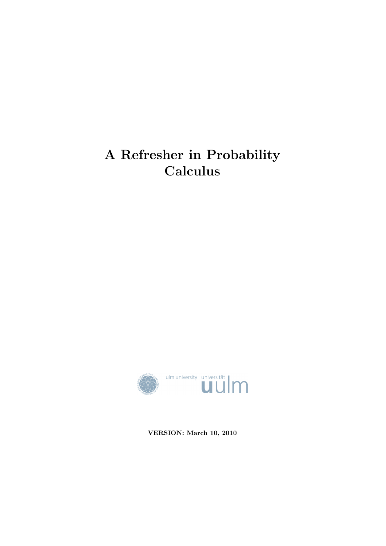# A Refresher in Probability Calculus



VERSION: March 10, 2010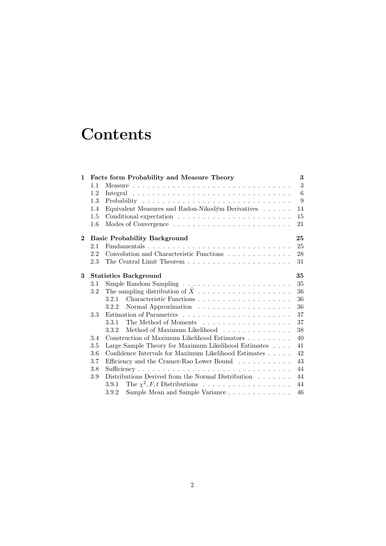# **Contents**

| $\mathbf{1}$   |                                    | Facts form Probability and Measure Theory                                                 | 3  |  |
|----------------|------------------------------------|-------------------------------------------------------------------------------------------|----|--|
|                | 1.1                                |                                                                                           | 3  |  |
|                | 1.2                                |                                                                                           | 6  |  |
|                | 1.3                                |                                                                                           | 9  |  |
|                | 1.4                                | Equivalent Measures and Radon-Nikodým Derivatives                                         | 14 |  |
|                | $1.5\,$                            |                                                                                           | 15 |  |
|                | $1.6\,$                            |                                                                                           | 21 |  |
| $\overline{2}$ |                                    | <b>Basic Probability Background</b>                                                       | 25 |  |
|                | 2.1                                | Fundamentals                                                                              | 25 |  |
|                | 2.2                                | Convolution and Characteristic Functions $\hfill\ldots\ldots\ldots\ldots\ldots\ldots$     | 28 |  |
|                | 2.3                                | The Central Limit Theorem $\ldots$ , $\ldots$ , $\ldots$ , $\ldots$ , $\ldots$ , $\ldots$ | 31 |  |
| 3              | <b>Statistics Background</b><br>35 |                                                                                           |    |  |
|                | 3.1                                |                                                                                           | 35 |  |
|                | 3.2                                |                                                                                           | 36 |  |
|                |                                    |                                                                                           | 36 |  |
|                |                                    | 3.2.2                                                                                     | 36 |  |
|                | 3.3                                |                                                                                           | 37 |  |
|                |                                    | The Method of Moments experiences in the set of the Method of Moments<br>3.3.1            | 37 |  |
|                |                                    | Method of Maximum Likelihood<br>3.3.2                                                     | 38 |  |
|                | 3.4                                | Construction of Maximum Likelihood Estimators                                             | 40 |  |
|                | 3.5                                | Large Sample Theory for Maximum Likelihood Estimates                                      | 41 |  |
|                | 3.6                                | Confidence Intervals for Maximum Likelihood Estimates                                     | 42 |  |
|                | 3.7                                | Efficiency and the Cramer-Rao Lower Bound                                                 | 43 |  |
|                | 3.8                                | 44                                                                                        |    |  |
|                | 3.9                                | Distributions Derived from the Normal Distribution $\ldots \ldots$                        | 44 |  |
|                |                                    | 3.9.1                                                                                     | 44 |  |
|                |                                    | Sample Mean and Sample Variance<br>3.9.2                                                  | 46 |  |
|                |                                    |                                                                                           |    |  |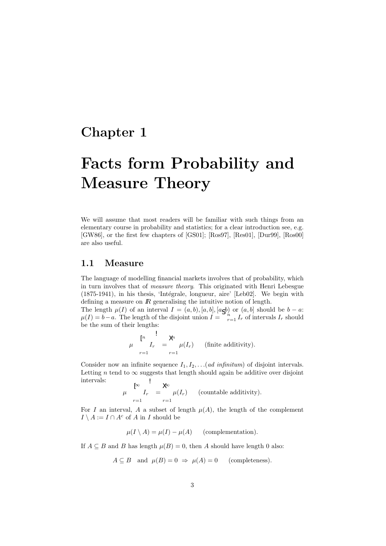## Chapter 1

# Facts form Probability and Measure Theory

We will assume that most readers will be familiar with such things from an elementary course in probability and statistics; for a clear introduction see, e.g. [GW86], or the first few chapters of [GS01]; [Ros97], [Res01], [Dur99], [Ros00] are also useful.

## 1.1 Measure

The language of modelling financial markets involves that of probability, which in turn involves that of measure theory. This originated with Henri Lebesgue (1875-1941), in his thesis, 'Intégrale, longueur, aire' [Leb02]. We begin with defining a measure on  $\mathbb{R}$  generalising the intuitive notion of length.

The length  $\mu(I)$  of an interval  $I = (a, b), [a, b], [a, b]$  or  $(a, b]$  should be  $b - a$ :  $\mu(I) = b - a$ . The length of the disjoint union  $I = \sum_{r=1}^{b} I_r$  of intervals  $I_r$  should be the sum of their lengths:

$$
\mu \left\{\n \begin{array}{c}\n \stackrel{p}{r} & \downarrow \\
 I_r & = \mu(I_r)\n \end{array}\n \right.\n \quad \text{(finite additivity)}.
$$

Consider now an infinite sequence  $I_1, I_2, \ldots (ad\ nifinitum)$  of disjoint intervals. Letting *n* tend to  $\infty$  suggests that length should again be additive over disjoint intervals:  $\overline{\phantom{a}}$ 

$$
\mu \quad \begin{array}{c} \uparrow \infty \\ \mu \quad I_r \quad = \quad \mu(I_r) \quad \text{(countable additivity)}.\end{array}
$$

For I an interval, A a subset of length  $\mu(A)$ , the length of the complement  $I \setminus A := I \cap A^c$  of A in I should be

$$
\mu(I \setminus A) = \mu(I) - \mu(A) \qquad \text{(complementation)}.
$$

If  $A \subseteq B$  and B has length  $\mu(B) = 0$ , then A should have length 0 also:

$$
A \subseteq B
$$
 and  $\mu(B) = 0 \Rightarrow \mu(A) = 0$  (completeness).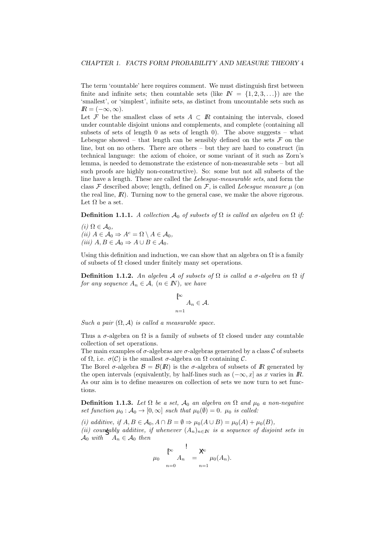The term 'countable' here requires comment. We must distinguish first between finite and infinite sets; then countable sets (like  $\mathbb{N} = \{1, 2, 3, \ldots\}$ ) are the 'smallest', or 'simplest', infinite sets, as distinct from uncountable sets such as  $\mathbb{R} = (-\infty, \infty).$ 

Let F be the smallest class of sets  $A \subset \mathbb{R}$  containing the intervals, closed under countable disjoint unions and complements, and complete (containing all subsets of sets of length 0 as sets of length 0). The above suggests – what Lebesgue showed – that length can be sensibly defined on the sets  $\mathcal F$  on the line, but on no others. There are others – but they are hard to construct (in technical language: the axiom of choice, or some variant of it such as Zorn's lemma, is needed to demonstrate the existence of non-measurable sets – but all such proofs are highly non-constructive). So: some but not all subsets of the line have a length. These are called the Lebesgue-measurable sets, and form the class  $\mathcal F$  described above; length, defined on  $\mathcal F$ , is called *Lebesque measure*  $\mu$  (on the real line,  $\mathbb{R}$ ). Turning now to the general case, we make the above rigorous. Let  $Ω$  be a set.

**Definition 1.1.1.** A collection  $\mathcal{A}_0$  of subsets of  $\Omega$  is called an algebra on  $\Omega$  if:

(i)  $\Omega \in \mathcal{A}_0$ , (ii)  $A \in \mathcal{A}_0 \Rightarrow A^c = \Omega \setminus A \in \mathcal{A}_0$ , (iii)  $A, B \in \mathcal{A}_0 \Rightarrow A \cup B \in \mathcal{A}_0$ .

Using this definition and induction, we can show that an algebra on  $\Omega$  is a family of subsets of  $\Omega$  closed under finitely many set operations.

Definition 1.1.2. An algebra A of subsets of  $\Omega$  is called a  $\sigma$ -algebra on  $\Omega$  if for any sequence  $A_n \in \mathcal{A}, (n \in \mathbb{N})$ , we have

$$
\bigcap_{n=1}^{\infty} A_n \in \mathcal{A}.
$$

Such a pair  $(\Omega, \mathcal{A})$  is called a measurable space.

Thus a  $\sigma$ -algebra on  $\Omega$  is a family of subsets of  $\Omega$  closed under any countable collection of set operations.

The main examples of  $\sigma$ -algebras are  $\sigma$ -algebras generated by a class C of subsets of  $\Omega$ , i.e.  $\sigma(\mathcal{C})$  is the smallest  $\sigma$ -algebra on  $\Omega$  containing  $\mathcal{C}$ .

The Borel  $\sigma$ -algebra  $\mathcal{B} = \mathcal{B}(I\!\!R)$  is the  $\sigma$ -algebra of subsets of  $I\!\!R$  generated by the open intervals (equivalently, by half-lines such as  $(-\infty, x]$  as x varies in  $\mathbb{R}$ . As our aim is to define measures on collection of sets we now turn to set functions.

**Definition 1.1.3.** Let  $\Omega$  be a set,  $\mathcal{A}_0$  an algebra on  $\Omega$  and  $\mu_0$  a non-negative set function  $\mu_0 : A_0 \to [0, \infty]$  such that  $\mu_0(\emptyset) = 0$ .  $\mu_0$  is called:

(i) additive, if  $A, B \in \mathcal{A}_0, A \cap B = \emptyset \Rightarrow \mu_0(A \cup B) = \mu_0(A) + \mu_0(B)$ ,

(ii) countably additive, if whenever  $(A_n)_{n\in\mathbb{N}}$  is a sequence of disjoint sets in  $\mathcal{A}_0$  with  $A_n \in \mathcal{A}_0$  then

$$
\mu_0 \sum_{n=0}^{\lceil \infty \rceil} A_n = \sum_{n=1}^{\lceil \infty \rceil} \mu_0(A_n).
$$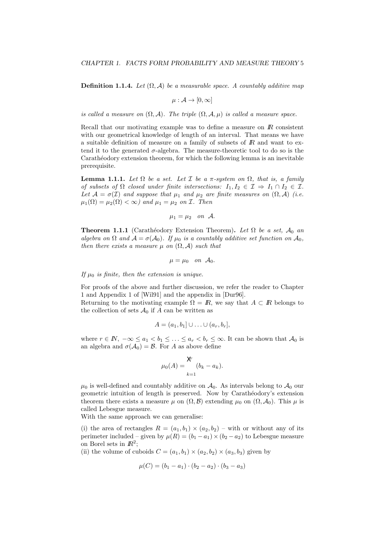**Definition 1.1.4.** Let  $(\Omega, \mathcal{A})$  be a measurable space. A countably additive map

$$
\mu: \mathcal{A} \to [0, \infty]
$$

is called a measure on  $(\Omega, \mathcal{A})$ . The triple  $(\Omega, \mathcal{A}, \mu)$  is called a measure space.

Recall that our motivating example was to define a measure on  $\mathbb{R}$  consistent with our geometrical knowledge of length of an interval. That means we have a suitable definition of measure on a family of subsets of  $\mathbb{R}$  and want to extend it to the generated  $\sigma$ -algebra. The measure-theoretic tool to do so is the Carathéodory extension theorem, for which the following lemma is an inevitable prerequisite.

**Lemma 1.1.1.** Let  $\Omega$  be a set. Let  $\mathcal I$  be a  $\pi$ -system on  $\Omega$ , that is, a family of subsets of  $\Omega$  closed under finite intersections:  $I_1, I_2 \in \mathcal{I} \Rightarrow I_1 \cap I_2 \in \mathcal{I}$ . Let  $\mathcal{A} = \sigma(\mathcal{I})$  and suppose that  $\mu_1$  and  $\mu_2$  are finite measures on  $(\Omega, \mathcal{A})$  (i.e.  $\mu_1(\Omega) = \mu_2(\Omega) < \infty$  and  $\mu_1 = \mu_2$  on *I*. Then

$$
\mu_1=\mu_2\quad on\quad \mathcal{A}.
$$

**Theorem 1.1.1** (Carathéodory Extension Theorem). Let  $\Omega$  be a set,  $\mathcal{A}_0$  an algebra on  $\Omega$  and  $\mathcal{A} = \sigma(\mathcal{A}_0)$ . If  $\mu_0$  is a countably additive set function on  $\mathcal{A}_0$ , then there exists a measure  $\mu$  on  $(\Omega, \mathcal{A})$  such that

 $\mu = \mu_0$  on  $\mathcal{A}_0$ .

If  $\mu_0$  is finite, then the extension is unique.

For proofs of the above and further discussion, we refer the reader to Chapter 1 and Appendix 1 of [Wil91] and the appendix in [Dur96].

Returning to the motivating example  $\Omega = \mathbb{R}$ , we say that  $A \subset \mathbb{R}$  belongs to the collection of sets  $\mathcal{A}_0$  if A can be written as

$$
A = (a_1, b_1] \cup \ldots \cup (a_r, b_r],
$$

where  $r \in \mathbb{N}$ ,  $-\infty \le a_1 < b_1 \le \ldots \le a_r < b_r \le \infty$ . It can be shown that  $\mathcal{A}_0$  is an algebra and  $\sigma(\mathcal{A}_0) = \mathcal{B}$ . For A as above define

$$
\mu_0(A) = \frac{\mathsf{X}}{k-1}(b_k - a_k).
$$

 $\mu_0$  is well-defined and countably additive on  $\mathcal{A}_0$ . As intervals belong to  $\mathcal{A}_0$  our geometric intuition of length is preserved. Now by Carath´eodory's extension theorem there exists a measure  $\mu$  on  $(\Omega, \mathcal{B})$  extending  $\mu_0$  on  $(\Omega, \mathcal{A}_0)$ . This  $\mu$  is called Lebesgue measure.

With the same approach we can generalise:

(i) the area of rectangles  $R = (a_1, b_1) \times (a_2, b_2)$  – with or without any of its perimeter included – given by  $\mu(R) = (b_1 - a_1) \times (b_2 - a_2)$  to Lebesgue measure on Borel sets in  $\mathbb{R}^2$ ;

(ii) the volume of cuboids  $C = (a_1, b_1) \times (a_2, b_2) \times (a_3, b_3)$  given by

$$
\mu(C) = (b_1 - a_1) \cdot (b_2 - a_2) \cdot (b_3 - a_3)
$$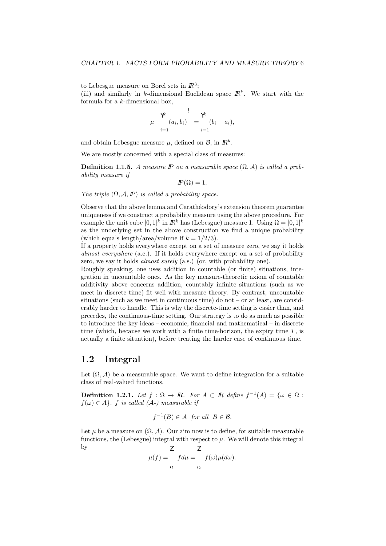to Lebesgue measure on Borel sets in  $\mathbb{R}^3$ ;

(iii) and similarly in k-dimensional Euclidean space  $\mathbb{R}^k$ . We start with the formula for a k-dimensional box,

$$
\mu \begin{array}{c} \lambda^k \\ \mu \\ \vdots \\ \lambda^{k-1} \end{array} \begin{array}{c} \lambda^k \\ \vdots \\ \lambda^{k-1} \end{array} \begin{array}{c} \lambda^k \\ \vdots \\ \lambda^{k-1} \end{array} \begin{array}{c} \lambda^k \\ \vdots \\ \lambda^{k-1} \end{array} \begin{array}{c} \lambda^{k-1} \\ \vdots \\ \lambda^{k-1} \end{array}
$$

and obtain Lebesgue measure  $\mu$ , defined on  $\mathcal{B}$ , in  $\mathbb{R}^k$ .

We are mostly concerned with a special class of measures:

**Definition 1.1.5.** A measure IP on a measurable space  $(\Omega, \mathcal{A})$  is called a probability measure if

 $I\!\!P(\Omega) = 1.$ 

The triple  $(\Omega, \mathcal{A}, \mathbb{P})$  is called a probability space.

Observe that the above lemma and Carath´eodory's extension theorem guarantee uniqueness if we construct a probability measure using the above procedure. For example the unit cube  $[0,1]^k$  in  $\mathbb{R}^k$  has (Lebesgue) measure 1. Using  $\Omega = [0,1]^k$ as the underlying set in the above construction we find a unique probability (which equals length/area/volume if  $k = 1/2/3$ ).

If a property holds everywhere except on a set of measure zero, we say it holds almost everywhere (a.e.). If it holds everywhere except on a set of probability zero, we say it holds *almost surely* (a.s.) (or, with probability one).

Roughly speaking, one uses addition in countable (or finite) situations, integration in uncountable ones. As the key measure-theoretic axiom of countable additivity above concerns addition, countably infinite situations (such as we meet in discrete time) fit well with measure theory. By contrast, uncountable situations (such as we meet in continuous time) do not – or at least, are considerably harder to handle. This is why the discrete-time setting is easier than, and precedes, the continuous-time setting. Our strategy is to do as much as possible to introduce the key ideas – economic, financial and mathematical – in discrete time (which, because we work with a finite time-horizon, the expiry time  $T$ , is actually a finite situation), before treating the harder case of continuous time.

## 1.2 Integral

Let  $(\Omega, \mathcal{A})$  be a measurable space. We want to define integration for a suitable class of real-valued functions.

**Definition 1.2.1.** Let  $f : \Omega \to \mathbb{R}$ . For  $A \subset \mathbb{R}$  define  $f^{-1}(A) = \{ \omega \in \Omega :$  $f(\omega) \in A$ . f is called (A-) measurable if

$$
f^{-1}(B) \in \mathcal{A} \text{ for all } B \in \mathcal{B}.
$$

Let u be a measure on  $(\Omega, \mathcal{A})$ . Our aim now is to define, for suitable measurable functions, the (Lebesgue) integral with respect to  $\mu$ . We will denote this integral by

$$
\mu(f) = \int_{\Omega} f d\mu = \int_{\Omega} f(\omega) \mu(d\omega).
$$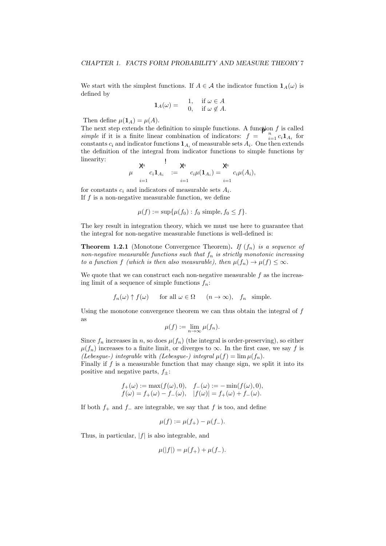We start with the simplest functions. If  $A \in \mathcal{A}$  the indicator function  $\mathbf{1}_A(\omega)$  is defined by

$$
\mathbf{1}_A(\omega) = \begin{array}{cc} 1, & \text{if } \omega \in A \\ 0, & \text{if } \omega \notin A. \end{array}
$$

Then define  $\mu(\mathbf{1}_A) = \mu(A)$ .

The next step extends the definition to simple functions. A function  $f$  is called simple if it is a finite linear combination of indicators:  $f = \int_{i=1}^{n} c_i \mathbf{1}_{A_i}$  for constants  $c_i$  and indicator functions  $\mathbf{1}_{A_i}$  of measurable sets  $A_i$ . One then extends the definition of the integral from indicator functions to simple functions by linearity:  $\overline{1}$ 

$$
\mu \quad \begin{array}{c} \mathsf{X}^i \quad \ \ \, \mathsf{X}^i \quad \ \ \, \mathsf{X}^i \quad \ \ \, \mathsf{X}^i \quad \ \ \, \mathsf{X}^i \quad \ \ \, \mathsf{X}^i \quad \ \ \, \mathsf{X}^i \quad \ \ \, \mathsf{X}^i \quad \ \ \, \mathsf{X}^i \quad \ \ \, \mathsf{X}^i \quad \ \ \, \mathsf{X}^i \quad \ \ \, \mathsf{X}^i \quad \ \ \, \mathsf{X}^i \quad \ \ \, \mathsf{X}^i \quad \ \ \, \mathsf{X}^i \quad \ \ \, \mathsf{X}^i \quad \ \ \, \mathsf{X}^i \quad \ \ \, \mathsf{X}^i \quad \ \ \, \mathsf{X}^i \quad \ \ \, \mathsf{X}^i \quad \ \ \, \mathsf{X}^i \quad \ \ \, \mathsf{X}^i \quad \ \ \, \mathsf{X}^i \quad \ \ \, \mathsf{X}^i \quad \ \ \, \mathsf{X}^i \quad \ \ \, \mathsf{X}^i \quad \ \ \, \mathsf{X}^i \quad \ \ \, \mathsf{X}^i \quad \ \ \, \mathsf{X}^i \quad \ \ \, \mathsf{X}^i \quad \ \ \, \mathsf{X}^i \quad \ \ \, \mathsf{X}^i \quad \ \ \, \mathsf{X}^i \quad \ \ \, \mathsf{X}^i \quad \ \ \, \mathsf{X}^i \quad \ \ \, \mathsf{X}^i \quad \ \ \, \mathsf{X}^i \quad \ \ \, \mathsf{X}^i \quad \ \ \, \mathsf{X}^i \quad \ \ \, \mathsf{X}^i \quad \ \ \, \mathsf{X}^i \quad \ \ \, \mathsf{X}^i \quad \ \ \, \mathsf{X}^i \quad \ \ \, \mathsf{X}^i \quad \ \ \, \mathsf{X}^i \quad \ \ \, \mathsf{X}^i \quad \ \ \, \mathsf{X}^i \quad \ \
$$

for constants  $c_i$  and indicators of measurable sets  $A_i$ . If  $f$  is a non-negative measurable function, we define

$$
\mu(f) := \sup \{ \mu(f_0) : f_0 \text{ simple}, f_0 \le f \}.
$$

The key result in integration theory, which we must use here to guarantee that the integral for non-negative measurable functions is well-defined is:

**Theorem 1.2.1** (Monotone Convergence Theorem). If  $(f_n)$  is a sequence of non-negative measurable functions such that  $f_n$  is strictly monotonic increasing to a function f (which is then also measurable), then  $\mu(f_n) \to \mu(f) \leq \infty$ .

We quote that we can construct each non-negative measurable  $f$  as the increasing limit of a sequence of simple functions  $f_n$ :

$$
f_n(\omega) \uparrow f(\omega)
$$
 for all  $\omega \in \Omega$   $(n \to \infty)$ ,  $f_n$  simple.

Using the monotone convergence theorem we can thus obtain the integral of  $f$ as

$$
\mu(f) := \lim_{n \to \infty} \mu(f_n).
$$

Since  $f_n$  increases in n, so does  $\mu(f_n)$  (the integral is order-preserving), so either  $\mu(f_n)$  increases to a finite limit, or diverges to  $\infty$ . In the first case, we say f is (Lebesgue-) integrable with (Lebesgue-) integral  $\mu(f) = \lim \mu(f_n)$ .

Finally if  $f$  is a measurable function that may change sign, we split it into its positive and negative parts,  $f_{\pm}$ :

$$
f_{+}(\omega) := \max(f(\omega), 0), \quad f_{-}(\omega) := -\min(f(\omega), 0),
$$
  
\n $f(\omega) = f_{+}(\omega) - f_{-}(\omega), \quad |f(\omega)| = f_{+}(\omega) + f_{-}(\omega).$ 

If both  $f_+$  and  $f_-$  are integrable, we say that f is too, and define

$$
\mu(f) := \mu(f_+) - \mu(f_-).
$$

Thus, in particular,  $|f|$  is also integrable, and

$$
\mu(|f|) = \mu(f_+) + \mu(f_-).
$$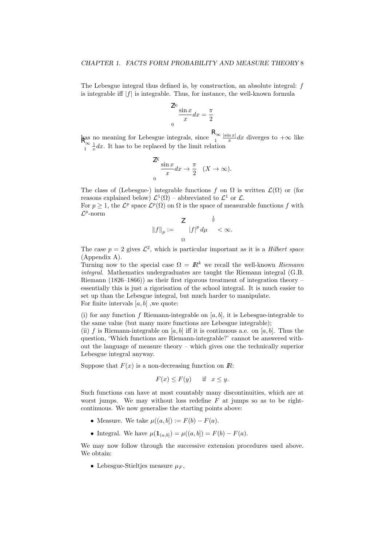The Lebesgue integral thus defined is, by construction, an absolute integral: f is integrable iff  $|f|$  is integrable. Thus, for instance, the well-known formula

$$
\frac{\partial^2 \sin x}{x} dx = \frac{\pi}{2}
$$

 $\lim_{n \to \infty} \frac{\log n}{n}$  meaning for Lebesgue integrals, since  $\lim_{n \to \infty} \frac{\log n}{n}$  $|\sin x|$  $\frac{\ln x}{x}dx$  diverges to  $+\infty$  like  $\int_{1}^{\infty} \frac{1}{x} dx$ . It has to be replaced by the limit relation

$$
\frac{X}{x} \frac{\sin x}{x} dx \to \frac{\pi}{2} \quad (X \to \infty).
$$

The class of (Lebesgue-) integrable functions f on  $\Omega$  is written  $\mathcal{L}(\Omega)$  or (for reasons explained below)  $\mathcal{L}^1(\Omega)$  – abbreviated to  $\mathcal{L}^1$  or  $\mathcal{L}$ .

For  $p \geq 1$ , the  $\mathcal{L}^p$  space  $\mathcal{L}^p(\Omega)$  on  $\Omega$  is the space of measurable functions f with  $\mathcal{L}^p$ -norm  $1<sub>1</sub>$ 

$$
||f||_p := \frac{Q}{\Omega} \quad |f|^p \, d\mu A < \infty.
$$

The case  $p = 2$  gives  $\mathcal{L}^2$ , which is particular important as it is a *Hilbert space* (Appendix A).

Turning now to the special case  $\Omega = \mathbb{R}^k$  we recall the well-known Riemann integral. Mathematics undergraduates are taught the Riemann integral (G.B. Riemann (1826–1866)) as their first rigorous treatment of integration theory – essentially this is just a rigorisation of the school integral. It is much easier to set up than the Lebesgue integral, but much harder to manipulate. For finite intervals  $[a, b]$ , we quote:

(i) for any function f Riemann-integrable on  $[a, b]$ , it is Lebesgue-integrable to the same value (but many more functions are Lebesgue integrable);

(ii) f is Riemann-integrable on  $[a, b]$  iff it is continuous a.e. on  $[a, b]$ . Thus the question, 'Which functions are Riemann-integrable?' cannot be answered without the language of measure theory  $-$  which gives one the technically superior Lebesgue integral anyway.

Suppose that  $F(x)$  is a non-decreasing function on  $\mathbb{R}$ :

$$
F(x) \le F(y) \quad \text{if} \quad x \le y.
$$

Such functions can have at most countably many discontinuities, which are at worst jumps. We may without loss redefine  $F$  at jumps so as to be rightcontinuous. We now generalise the starting points above:

- Measure. We take  $\mu((a, b]) := F(b) F(a)$ .
- Integral. We have  $\mu(1_{(a,b]}) = \mu((a,b]) = F(b) F(a)$ .

We may now follow through the successive extension procedures used above. We obtain:

• Lebesgue-Stielties measure  $\mu_F$ .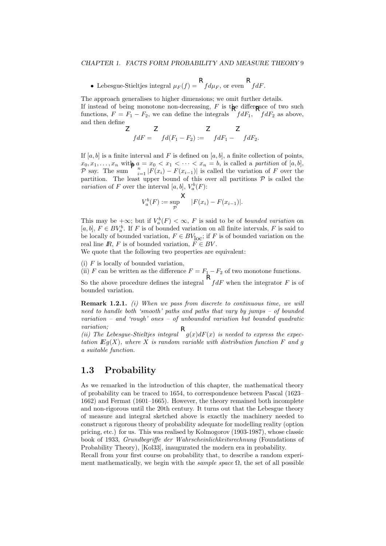• Lebesgue-Stieltjes integral  $\mu_F(f) = \int f d\mu_F$ , or even  $\int f dF$ .

The approach generalises to higher dimensions; we omit further details.

If instead of being monotone non-decreasing,  $F$  is the difference of two such functions,  $F = F_1 - F_2$ , we can define the integrals  $\int dF_1$ ,  $\int dF_2$  as above, and then define

$$
\angle \qquad \qquad \angle \qquad \angle \qquad \angle
$$
  
\n
$$
fdF = \qquad fd(F_1 - F_2) := \qquad fdF_1 - \qquad fdF_2.
$$

If  $[a, b]$  is a finite interval and F is defined on  $[a, b]$ , a finite collection of points,  $x_0, x_1, \ldots, x_n$  with  $a = x_0 < x_1 < \cdots < x_n = b$ , is called a partition of [a, b], P say. The sum  $\begin{bmatrix} n \\ i=1 \end{bmatrix} |F(x_i) - F(x_{i-1})|$  is called the variation of F over the partition. The least upper bound of this over all partitions  $P$  is called the variation of F over the interval [a, b],  $V_a^b(F)$ :

$$
V_a^b(F) := \sup_{\mathcal{P}} \left| F(x_i) - F(x_{i-1}) \right|.
$$

This may be  $+\infty$ ; but if  $V_a^b(F) < \infty$ , F is said to be of *bounded variation* on [a, b],  $F \in BV_a^b$ . If F is of bounded variation on all finite intervals, F is said to be locally of bounded variation,  $F \in BV_{\text{loc}}$ ; if F is of bounded variation on the real line  $\mathbb{R}, F$  is of bounded variation,  $\widetilde{F} \in BV$ .

We quote that the following two properties are equivalent:

(i)  $F$  is locally of bounded variation,

(ii) F can be written as the difference  $F = F_1 - F_2$  of two monotone functions.

So the above procedure defines the integral  $\int f dF$  when the integrator F is of bounded variation.

Remark 1.2.1. (i) When we pass from discrete to continuous time, we will need to handle both 'smooth' paths and paths that vary by jumps – of bounded  $variation - and 'rough' ones - of unbounded variation but bounded quadratic$ variation;

(ii) The Lebesgue-Stieltjes integral  $\int g(x)dF(x)$  is needed to express the expectation  $\mathbb{E}q(X)$ , where X is random variable with distribution function F and g a suitable function.

## 1.3 Probability

As we remarked in the introduction of this chapter, the mathematical theory of probability can be traced to 1654, to correspondence between Pascal (1623– 1662) and Fermat (1601–1665). However, the theory remained both incomplete and non-rigorous until the 20th century. It turns out that the Lebesgue theory of measure and integral sketched above is exactly the machinery needed to construct a rigorous theory of probability adequate for modelling reality (option pricing, etc.) for us. This was realised by Kolmogorov (1903-1987), whose classic book of 1933, Grundbegriffe der Wahrscheinlichkeitsrechnung (Foundations of Probability Theory), [Kol33], inaugurated the modern era in probability.

Recall from your first course on probability that, to describe a random experiment mathematically, we begin with the *sample space*  $\Omega$ , the set of all possible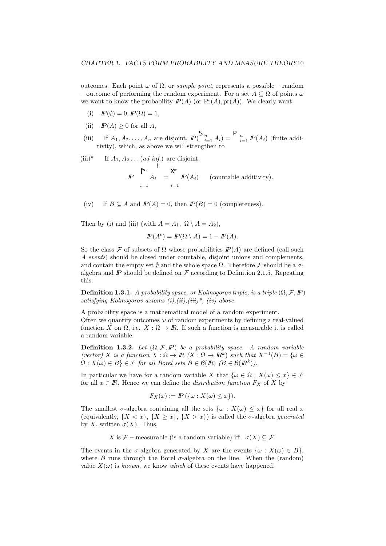outcomes. Each point  $ω$  of  $Ω$ , or *sample point*, represents a possible – random – outcome of performing the random experiment. For a set  $A \subseteq \Omega$  of points  $\omega$ we want to know the probability  $I\!\!P(A)$  (or  $\Pr(A)$ ,  $\Pr(A)$ ). We clearly want

- (i)  $I\!\!P(\emptyset) = 0, I\!\!P(\Omega) = 1,$
- (ii)  $I\!\!P(A) \geq 0$  for all A,
- (iii) If  $A_1, A_2, \ldots, A_n$  are disjoint,  $IP(\bigcup_{i=1}^n A_i) = \bigcap_{i=1}^n P(A_i)$  (finite additivity), which, as above we will strengthen to
- (iii)\* If  $A_1, A_2 \ldots$  (*ad inf.*) are disjoint,

$$
I\!\!P \bigg|_{i=1}^{\infty} A_i = \bigotimes_{i=1}^{\infty} I\!\!P(A_i) \qquad \text{(countable additivity)}.
$$

(iv) If  $B \subseteq A$  and  $I\!\!P(A) = 0$ , then  $I\!\!P(B) = 0$  (completeness).

Then by (i) and (iii) (with  $A = A_1, \Omega \setminus A = A_2$ ),

$$
I\!\!P(A^c) = I\!\!P(\Omega \setminus A) = 1 - I\!\!P(A).
$$

So the class F of subsets of  $\Omega$  whose probabilities  $\mathbb{P}(A)$  are defined (call such A events) should be closed under countable, disjoint unions and complements, and contain the empty set  $\emptyset$  and the whole space  $\Omega$ . Therefore F should be a  $\sigma$ algebra and  $\mathbb P$  should be defined on  $\mathcal F$  according to Definition 2.1.5. Repeating this:

**Definition 1.3.1.** A probability space, or Kolmogorov triple, is a triple  $(\Omega, \mathcal{F}, \mathbb{P})$ satisfying Kolmogorov axioms  $(i), (ii), (iii)^*,$  (iv) above.

A probability space is a mathematical model of a random experiment. Often we quantify outcomes  $\omega$  of random experiments by defining a real-valued function X on  $\Omega$ , i.e.  $X : \Omega \to \mathbb{R}$ . If such a function is measurable it is called a random variable.

**Definition 1.3.2.** Let  $(\Omega, \mathcal{F}, \mathbb{P})$  be a probability space. A random variable (vector) X is a function  $X : \Omega \to \mathbb{R}$   $(X : \Omega \to \mathbb{R}^k)$  such that  $X^{-1}(B) = \{ \omega \in \Omega \}$  $\Omega: X(\omega) \in B$   $\in \mathcal{F}$  for all Borel sets  $B \in \mathcal{B}(I\!\!R)$   $(B \in \mathcal{B}(I\!\!R^k))$ .

In particular we have for a random variable X that  $\{\omega \in \Omega : X(\omega) \le x\} \in \mathcal{F}$ for all  $x \in \mathbb{R}$ . Hence we can define the *distribution function*  $F_X$  of X by

$$
F_X(x) := \mathbb{P}\left(\{\omega : X(\omega) \le x\}\right).
$$

The smallest  $\sigma$ -algebra containing all the sets  $\{\omega : X(\omega) \leq x\}$  for all real x (equivalently,  $\{X \leq x\}$ ,  $\{X \geq x\}$ ,  $\{X \geq x\}$ ) is called the  $\sigma$ -algebra *generated* by X, written  $\sigma(X)$ . Thus,

X is F – measurable (is a random variable) iff  $\sigma(X) \subseteq \mathcal{F}$ .

The events in the  $\sigma$ -algebra generated by X are the events  $\{\omega : X(\omega) \in B\},\$ where B runs through the Borel  $\sigma$ -algebra on the line. When the (random) value  $X(\omega)$  is known, we know which of these events have happened.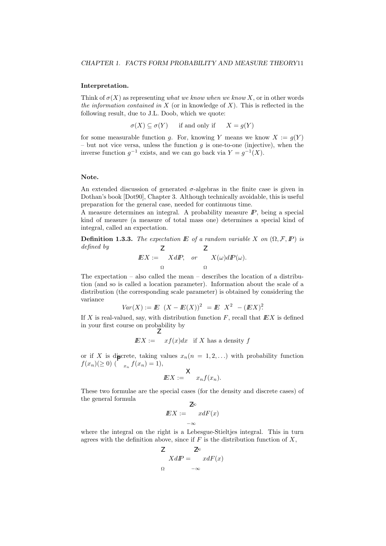#### Interpretation.

Think of  $\sigma(X)$  as representing what we know when we know X, or in other words the information contained in  $X$  (or in knowledge of  $X$ ). This is reflected in the following result, due to J.L. Doob, which we quote:

 $\sigma(X) \subset \sigma(Y)$  if and only if  $X = q(Y)$ 

for some measurable function g. For, knowing Y means we know  $X := g(Y)$ – but not vice versa, unless the function  $g$  is one-to-one (injective), when the inverse function  $g^{-1}$  exists, and we can go back via  $Y = g^{-1}(X)$ .

#### Note.

An extended discussion of generated  $\sigma$ -algebras in the finite case is given in Dothan's book [Dot90], Chapter 3. Although technically avoidable, this is useful preparation for the general case, needed for continuous time.

A measure determines an integral. A probability measure  $\mathbb{P}$ , being a special kind of measure (a measure of total mass one) determines a special kind of integral, called an expectation.

**Definition 1.3.3.** The expectation  $E$  of a random variable X on  $(\Omega, \mathcal{F}, I\!\!P)$  is defined by  $\overline{7}$  $\overline{7}$ 

$$
E X := \begin{bmatrix} X dP, & or & X(\omega) dP(\omega). \\ \Omega & & \Omega \end{bmatrix}
$$

The expectation – also called the mean – describes the location of a distribution (and so is called a location parameter). Information about the scale of a distribution (the corresponding scale parameter) is obtained by considering the variance

$$
Var(X) := E (X - E(X))^2 = E X^2 - (E X)^2
$$

If X is real-valued, say, with distribution function  $F$ , recall that  $EX$  is defined in your first course on probability by

$$
EX := xf(x)dx
$$
 if X has a density f

or if X is discrete, taking values  $x_n(n = 1, 2, ...)$  with probability function  $f(x_n)(\geq 0)$  (  $x_n f(x_n) = 1$ ),

$$
E[X := \begin{cases} X \\ x_n f(x_n). \end{cases}
$$

These two formulae are the special cases (for the density and discrete cases) of the general formula  $\overline{z}$ 

$$
E X := \int_{-\infty}^{\infty} x dF(x)
$$

where the integral on the right is a Lebesgue-Stieltjes integral. This in turn agrees with the definition above, since if  $F$  is the distribution function of  $X$ ,

$$
Z \underset{\Omega}{XdP} = \underset{-\infty}{\mathbb{Z}} \underset{-\infty}{XdF(x)}
$$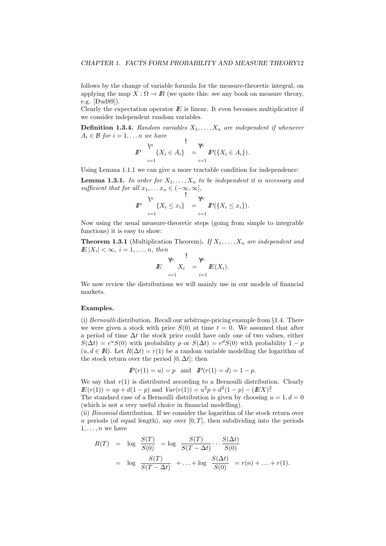follows by the change of variable formula for the measure-theoretic integral, on applying the map  $X : \Omega \to \mathbb{R}$  (we quote this: see any book on measure theory, e.g. [Dud89]).

Clearly the expectation operator  $E$  is linear. It even becomes multiplicative if we consider independent random variables.

**Definition 1.3.4.** Random variables  $X_1, \ldots, X_n$  are independent if whenever  $A_i \in \mathcal{B}$  for  $i = 1, \ldots n$  we have

$$
I\!\!P \quad \bigvee_{i=1}^{\forall i} \{X_i \in A_i\} \quad = \, \bigvee_{i=1}^{\forall i} I\!\!P(\{X_i \in A_i\}).
$$

Using Lemma 1.1.1 we can give a more tractable condition for independence:

**Lemma 1.3.1.** In order for  $X_1, \ldots, X_n$  to be independent it is necessary and sufficient that for all  $x_1, \ldots x_n \in (-\infty, \infty]$ ,

$$
I\!\!P \quad \Big\downarrow^{\mathsf{V}_i} \{X_i \leq x_i\} \quad = \, \big\downarrow^{\mathsf{V}_i} \, I\!\!P(\{X_i \leq x_i\}).
$$

Now using the usual measure-theoretic steps (going from simple to integrable functions) it is easy to show:

**Theorem 1.3.1** (Multiplication Theorem). If  $X_1, \ldots, X_n$  are independent and  $E|X_i| < \infty$ ,  $i = 1, \ldots, n$ , then

$$
E\bigg|_{i=1}^{\gamma h} X_i = \bigg|_{i=1}^{\gamma h} E(X_i).
$$

We now review the distributions we will mainly use in our models of financial markets.

#### Examples.

(i) Bernoulli distribution. Recall our arbitrage-pricing example from  $\S 1.4$ . There we were given a stock with price  $S(0)$  at time  $t = 0$ . We assumed that after a period of time  $\Delta t$  the stock price could have only one of two values, either  $S(\Delta t) = e^u S(0)$  with probability p or  $S(\Delta t) = e^d S(0)$  with probability  $1 - p$  $(u, d \in \mathbb{R})$ . Let  $R(\Delta t) = r(1)$  be a random variable modelling the logarithm of the stock return over the period  $[0, \Delta t]$ ; then

$$
I\!\!P(r(1) = u) = p \text{ and } I\!\!P(r(1) = d) = 1 - p.
$$

We say that  $r(1)$  is distributed according to a Bernoulli distribution. Clearly  $E(r(1)) = up + d(1-p)$  and  $Var(r(1)) = u^2p + d^2(1-p) - (EX)^2$ .

The standard case of a Bernoulli distribution is given by choosing  $u = 1, d = 0$ (which is not a very useful choice in financial modelling).

(ii) Binomial distribution. If we consider the logarithm of the stock return over n periods (of equal length), say over  $[0, T]$ , then subdividing into the periods  $1, \ldots, n$  we have

$$
R(T) = \log \frac{S(T)}{S(0)} = \log \frac{S(T)}{S(T - \Delta t)} \cdots \frac{S(\Delta t)}{S(0)}
$$
  
= 
$$
\log \frac{S(T)}{S(T - \Delta t)} + \cdots + \log \frac{S(\Delta t)}{S(0)} = r(n) + \cdots + r(1).
$$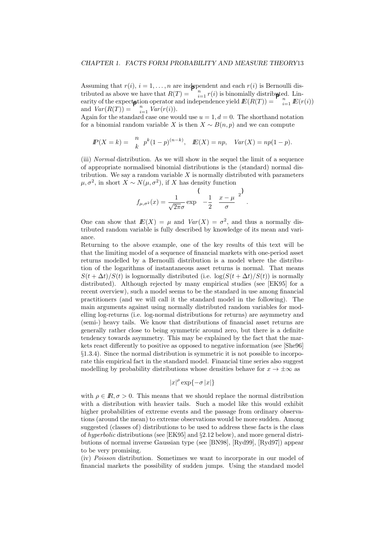Assuming that  $r(i)$ ,  $i = 1, ..., n$  are independent and each  $r(i)$  is Bernoulli distributed as above we have that  $R(T) = \bigcap_{i=1}^{n} r(i)$  is binomially distributed. Linearity of the expectation operator and independence yield  $E(R(T)) = \bigcap_{i=1}^{n} E(r(i))$ and  $Var(R(T)) = \bigcap_{i=1}^{n} Var(r(i)).$ 

Again for the standard case one would use  $u = 1, d = 0$ . The shorthand notation for a binomial random variable X is then  $X \sim B(n, p)$  and we can compute

$$
I\!\!P(X = k) = \frac{n}{k} p^{k} (1-p)^{(n-k)}, \quad I\!\!E(X) = np, \quad Var(X) = np(1-p).
$$

(iii) Normal distribution. As we will show in the sequel the limit of a sequence of appropriate normalised binomial distributions is the (standard) normal distribution. We say a random variable  $X$  is normally distributed with parameters  $\mu, \sigma^2$ , in short  $X \sim N(\mu, \sigma^2)$ , if X has density function

$$
f_{\mu,\sigma^2}(x) = \frac{1}{\sqrt{2\pi}\sigma} \exp\left(-\frac{1}{2} \frac{x-\mu}{\sigma}\right)^2.
$$

One can show that  $E(X) = \mu$  and  $Var(X) = \sigma^2$ , and thus a normally distributed random variable is fully described by knowledge of its mean and variance.

Returning to the above example, one of the key results of this text will be that the limiting model of a sequence of financial markets with one-period asset returns modelled by a Bernoulli distribution is a model where the distribution of the logarithms of instantaneous asset returns is normal. That means  $S(t + \Delta t)/S(t)$  is lognormally distributed (i.e.  $\log(S(t + \Delta t)/S(t))$  is normally distributed). Although rejected by many empirical studies (see [EK95] for a recent overview), such a model seems to be the standard in use among financial practitioners (and we will call it the standard model in the following). The main arguments against using normally distributed random variables for modelling log-returns (i.e. log-normal distributions for returns) are asymmetry and (semi-) heavy tails. We know that distributions of financial asset returns are generally rather close to being symmetric around zero, but there is a definite tendency towards asymmetry. This may be explained by the fact that the markets react differently to positive as opposed to negative information (see [She96] §1.3.4). Since the normal distribution is symmetric it is not possible to incorporate this empirical fact in the standard model. Financial time series also suggest modelling by probability distributions whose densities behave for  $x \to \pm \infty$  as

$$
|x|^{\rho} \exp\{-\sigma |x|\}
$$

with  $\rho \in \mathbb{R}, \sigma > 0$ . This means that we should replace the normal distribution with a distribution with heavier tails. Such a model like this would exhibit higher probabilities of extreme events and the passage from ordinary observations (around the mean) to extreme observations would be more sudden. Among suggested (classes of) distributions to be used to address these facts is the class of hyperbolic distributions (see [EK95] and §2.12 below), and more general distributions of normal inverse Gaussian type (see [BN98], [Ryd99], [Ryd97]) appear to be very promising.

(iv) Poisson distribution. Sometimes we want to incorporate in our model of financial markets the possibility of sudden jumps. Using the standard model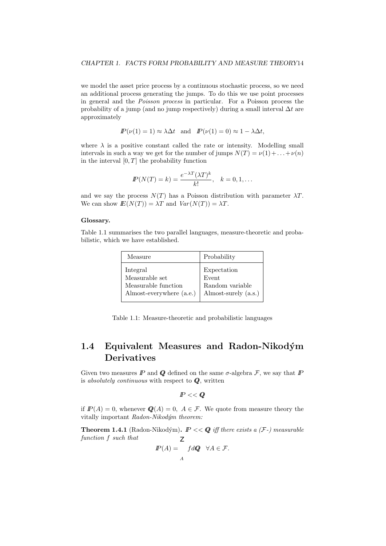we model the asset price process by a continuous stochastic process, so we need an additional process generating the jumps. To do this we use point processes in general and the Poisson process in particular. For a Poisson process the probability of a jump (and no jump respectively) during a small interval  $\Delta t$  are approximately

$$
I\!\!P(\nu(1) = 1) \approx \lambda \Delta t \text{ and } I\!\!P(\nu(1) = 0) \approx 1 - \lambda \Delta t,
$$

where  $\lambda$  is a positive constant called the rate or intensity. Modelling small intervals in such a way we get for the number of jumps  $N(T) = \nu(1) + ... + \nu(n)$ in the interval  $[0, T]$  the probability function

$$
I\!\!P(N(T) = k) = \frac{e^{-\lambda T} (\lambda T)^k}{k!}, \quad k = 0, 1, \dots
$$

and we say the process  $N(T)$  has a Poisson distribution with parameter  $\lambda T$ . We can show  $E(N(T)) = \lambda T$  and  $Var(N(T)) = \lambda T$ .

#### Glossary.

Table 1.1 summarises the two parallel languages, measure-theoretic and probabilistic, which we have established.

| Measure                  | Probability          |
|--------------------------|----------------------|
| Integral                 | Expectation          |
| Measurable set           | Event                |
| Measurable function      | Random variable      |
| Almost-everywhere (a.e.) | Almost-surely (a.s.) |

Table 1.1: Measure-theoretic and probabilistic languages

## 1.4 Equivalent Measures and Radon-Nikodým Derivatives

Given two measures  $\mathbb P$  and  $\mathbb Q$  defined on the same  $\sigma$ -algebra  $\mathcal F$ , we say that  $\mathbb P$ is absolutely continuous with respect to  $Q$ , written

$$
I\!\!P<
$$

if  $I\!\!P(A) = 0$ , whenever  $\mathcal{Q}(A) = 0$ ,  $A \in \mathcal{F}$ . We quote from measure theory the vitally important  $Radon-Nikodým$  theorem:

**Theorem 1.4.1** (Radon-Nikodým).  $P \ll Q$  iff there exists a  $(F)$  measurable function f such that  $\overline{7}$ 

$$
I\!\!P(A) = \int_A f dQ \quad \forall A \in \mathcal{F}.
$$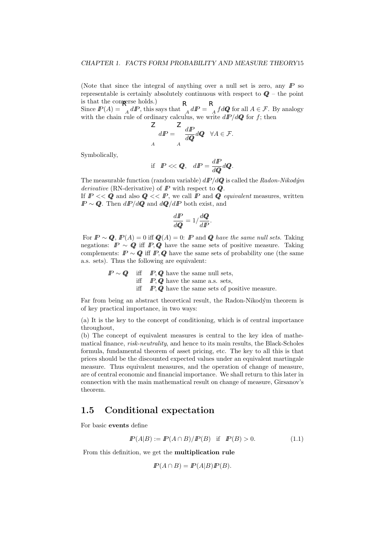(Note that since the integral of anything over a null set is zero, any  $\mathbb P$  so representable is certainly absolutely continuous with respect to  $Q$  – the point is that the converse holds.)

Since  $I\!\!P(A) = \frac{dI}{A} dI$ , this says that  $\frac{dI}{A} dI = \frac{dI}{A} fdQ$  for all  $A \in \mathcal{F}$ . By analogy with the chain rule of ordinary calculus, we write  $dP/dQ$  for f; then

$$
\frac{d}{dP} = \int_{A}^{L} \frac{dP}{dQ} dQ \quad \forall A \in \mathcal{F}.
$$

Symbolically,

$$
\text{if } P \ll \mathbf{Q}, \quad dP = \frac{dP}{d\mathbf{Q}} d\mathbf{Q}.
$$

The measurable function (random variable)  $dP/dQ$  is called the Radon-Nikodým derivative (RN-derivative) of  $P$  with respect to  $Q$ .

If  $P \ll Q$  and also  $Q \ll P$ , we call P and Q equivalent measures, written  $I\!\!P \sim \mathbf{Q}$ . Then  $d\mathbf{P}/d\mathbf{Q}$  and  $d\mathbf{Q}/d\mathbf{P}$  both exist, and

$$
\frac{dI\!\!P}{dQ} = 1 / \frac{dQ}{dI\!\!P}.
$$

For  $P \sim Q$ ,  $P(A) = 0$  iff  $Q(A) = 0$ :  $P$  and  $Q$  have the same null sets. Taking negations:  $\mathbb{P} \sim \mathbb{Q}$  iff  $\mathbb{P}, \mathbb{Q}$  have the same sets of positive measure. Taking complements:  $\mathbb{P} \sim \mathbb{Q}$  iff  $\mathbb{P}, \mathbb{Q}$  have the same sets of probability one (the same a.s. sets). Thus the following are equivalent:

$$
P \sim Q
$$
 iff  $P, Q$  have the same null sets,  
iff  $P, Q$  have the same a.s. sets,  
iff  $P, Q$  have the same sets of positive measure.

Far from being an abstract theoretical result, the Radon-Nikodým theorem is of key practical importance, in two ways:

(a) It is the key to the concept of conditioning, which is of central importance throughout,

(b) The concept of equivalent measures is central to the key idea of mathematical finance, risk-neutrality, and hence to its main results, the Black-Scholes formula, fundamental theorem of asset pricing, etc. The key to all this is that prices should be the discounted expected values under an equivalent martingale measure. Thus equivalent measures, and the operation of change of measure, are of central economic and financial importance. We shall return to this later in connection with the main mathematical result on change of measure, Girsanov's theorem.

## 1.5 Conditional expectation

For basic events define

$$
I\!\!P(A|B) := I\!\!P(A \cap B)/I\!\!P(B) \quad \text{if} \quad I\!\!P(B) > 0. \tag{1.1}
$$

From this definition, we get the multiplication rule

$$
I\!\!P(A \cap B) = I\!\!P(A|B)I\!\!P(B).
$$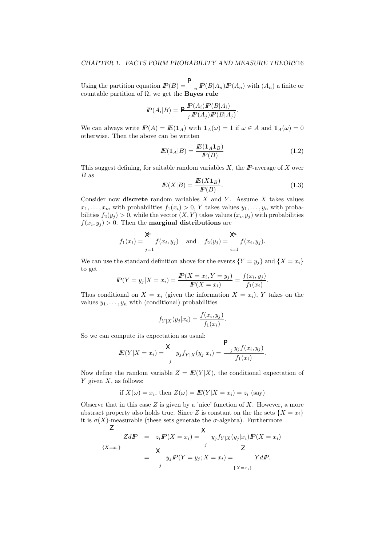Using the partition equation  $I\!\!P(B) = \frac{1}{n} I\!\!P(B|A_n)I\!\!P(A_n)$  with  $(A_n)$  a finite or countable partition of Ω, we get the Bayes rule

$$
I\!\!P(A_i|B) = \frac{\mathcal{P}(A_i)I\!\!P(B|A_i)}{I\!\!P(A_j)I\!\!P(B|A_j)}.
$$

We can always write  $I\!P(A) = I\!E(1_A)$  with  $1_A(\omega) = 1$  if  $\omega \in A$  and  $1_A(\omega) = 0$ otherwise. Then the above can be written

$$
I\!E(\mathbf{1}_A|B) = \frac{I\!E(\mathbf{1}_A \mathbf{1}_B)}{I\!P(B)}\tag{1.2}
$$

This suggest defining, for suitable random variables  $X$ , the  $I\!\!P$ -average of  $X$  over B as

$$
E(X|B) = \frac{E(X1_B)}{P(B)}.\t(1.3)
$$

Consider now discrete random variables  $X$  and  $Y$ . Assume  $X$  takes values  $x_1, \ldots, x_m$  with probabilities  $f_1(x_i) > 0$ , Y takes values  $y_1, \ldots, y_n$  with probabilities  $f_2(y_j) > 0$ , while the vector  $(X, Y)$  takes values  $(x_i, y_j)$  with probabilities  $f(x_i, y_j) > 0$ . Then the **marginal distributions** are

$$
f_1(x_i) = \sum_{j=1}^{\infty} f(x_i, y_j)
$$
 and  $f_2(y_j) = \sum_{i=1}^{\infty} f(x_i, y_j).$ 

We can use the standard definition above for the events  ${Y = y_i}$  and  ${X = x_i}$ to get

$$
I\!\!P(Y = y_j | X = x_i) = \frac{I\!\!P(X = x_i, Y = y_j)}{I\!\!P(X = x_i)} = \frac{f(x_i, y_j)}{f_1(x_i)}.
$$

Thus conditional on  $X = x_i$  (given the information  $X = x_i$ ), Y takes on the values  $y_1, \ldots, y_n$  with (conditional) probabilities

$$
f_{Y|X}(y_j|x_i) = \frac{f(x_i, y_j)}{f_1(x_i)}.
$$

So we can compute its expectation as usual:

$$
I\!E(Y|X = x_i) = \frac{\times}{\int_{j}^{i} y_j f_{Y|X}(y_j|x_i) = \frac{\sum_{j}^{i} y_j f(x_i, y_j)}{f_1(x_i)}.
$$

 $\Box$ 

Now define the random variable  $Z = E(Y|X)$ , the conditional expectation of  $Y$  given  $X$ , as follows:

if 
$$
X(\omega) = x_i
$$
, then  $Z(\omega) = E(Y|X = x_i) = z_i$  (say)

Observe that in this case  $Z$  is given by a 'nice' function of  $X$ . However, a more abstract property also holds true. Since Z is constant on the the sets  $\{X = x_i\}$ it is  $\sigma(X)$ -measurable (these sets generate the  $\sigma$ -algebra). Furthermore

$$
ZdP = z_iP(X = x_i) = \begin{cases} \times & \text{if } y_j f_{Y|X}(y_j|x_i)P(X = x_i) \\ \times & \text{if } Z \\ y_j P(Y = y_j; X = x_i) = \begin{cases} X \cdot dx_j & \text{if } Y \leq x_i \\ \{X = x_i\} \end{cases} \end{cases}
$$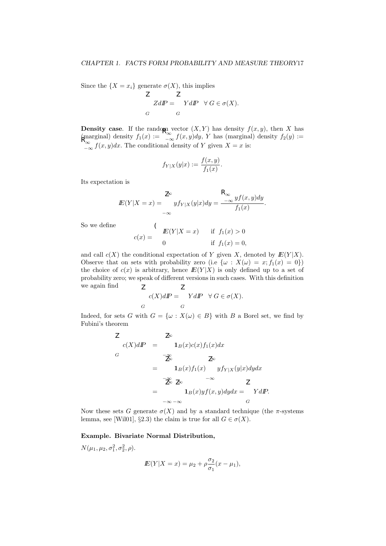Since the  $\{X = x_i\}$  generate  $\sigma(X)$ , this implies

$$
Z dI\!\!P = \begin{cases} Z & \text{if } Z dI\!\!P \\ G & G \end{cases} \forall G \in \sigma(X).
$$

**Density case**. If the random vector  $(X, Y)$  has density  $f(x, y)$ , then X has  $(\text{marginal})$  density  $f_1(x) := \int_{-\infty}^{\infty} f(x, y) dy$ , Y has (marginal) density  $f_2(y) :=$  $\int_{-\infty}^{\infty} f(x, y) dx$ . The conditional density of Y given  $X = x$  is:

$$
f_{Y|X}(y|x) := \frac{f(x,y)}{f_1(x)}
$$
.

Its expectation is

$$
E(Y|X=x) = \int_{-\infty}^{\infty} y f_{Y|X}(y|x) dy = \frac{\int_{-\infty}^{\infty} y f(x, y) dy}{f_1(x)}.
$$

So we define

$$
c(x) = \begin{cases} \nE(Y|X=x) & \text{if } f_1(x) > 0\\ \n0 & \text{if } f_1(x) = 0, \n\end{cases}
$$

and call  $c(X)$  the conditional expectation of Y given X, denoted by  $E(Y|X)$ . Observe that on sets with probability zero (i.e  $\{\omega : X(\omega) = x; f_1(x) = 0\}$ ) the choice of  $c(x)$  is arbitrary, hence  $E(Y|X)$  is only defined up to a set of probability zero; we speak of different versions in such cases. With this definition we again find Z Z

$$
c(X)dP = \underset{G}{YdP} \quad \forall G \in \sigma(X).
$$

Indeed, for sets G with  $G = {\omega : X(\omega) \in B}$  with B a Borel set, we find by Fubini's theorem

$$
Z
$$
  
\n
$$
c(X)dP = \n\begin{cases}\n\frac{Z}{Z} & \text{if } Z \leq Z \leq Z\n\end{cases}
$$
\n
$$
= \n\begin{cases}\n\frac{Z}{Z} & \text{if } Z \leq Z \leq Z\n\end{cases}
$$
\n
$$
= \n\begin{cases}\n\frac{Z}{Z} & \text{if } Z \leq Z\n\end{cases}
$$
\n
$$
= \n\begin{cases}\n\frac{Z}{Z} & \text{if } Z \leq Z\n\end{cases}
$$
\n
$$
= \n\begin{cases}\nI_B(x)yf(x,y)dydx = \n\end{cases}
$$
\n
$$
= \n\begin{cases}\nYdP.\n\end{cases}
$$

Now these sets G generate  $\sigma(X)$  and by a standard technique (the  $\pi$ -systems lemma, see [Wil01], §2.3) the claim is true for all  $G \in \sigma(X)$ .

#### Example. Bivariate Normal Distribution,

 $N(\mu_1, \mu_2, \sigma_1^2, \sigma_2^2, \rho).$ 

$$
I\!\!E(Y|X = x) = \mu_2 + \rho \frac{\sigma_2}{\sigma_1}(x - \mu_1),
$$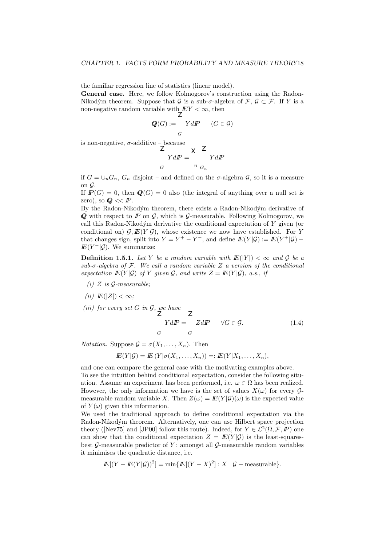the familiar regression line of statistics (linear model).

General case. Here, we follow Kolmogorov's construction using the Radon-Nikodým theorem. Suppose that G is a sub- $\sigma$ -algebra of  $\mathcal{F}, \mathcal{G} \subset \mathcal{F}$ . If Y is a non-negative random variable with  $EY < \infty$ , then

$$
Q(G) := \bigcup_{G} YdP \qquad (G \in \mathcal{G})
$$

is non-negative,  $\sigma$ -additive – because

$$
\frac{Z}{YdP} = \frac{Z}{N} \frac{Z}{G_n}
$$

if  $G = \bigcup_n G_n$ ,  $G_n$  disjoint – and defined on the  $\sigma$ -algebra  $\mathcal{G}$ , so it is a measure on  $\mathcal G$ .

If  $I\!\!P(G) = 0$ , then  $Q(G) = 0$  also (the integral of anything over a null set is zero), so  $Q \ll P$ .

By the Radon-Nikodým theorem, there exists a Radon-Nikodým derivative of  $Q$  with respect to  $I\!\!P$  on  $G$ , which is  $G$ -measurable. Following Kolmogorov, we call this Radon-Nikodým derivative the conditional expectation of  $Y$  given (or conditional on)  $G, E(Y|\mathcal{G})$ , whose existence we now have established. For Y that changes sign, split into  $Y = Y^+ - Y^-$ , and define  $E(Y|\mathcal{G}) := E(Y^+|\mathcal{G})$  $I\!\!E(Y^-|\mathcal{G})$ . We summarize:

**Definition 1.5.1.** Let Y be a random variable with  $E(|Y|) < \infty$  and G be a sub- $\sigma$ -algebra of  $\mathcal F$ . We call a random variable  $Z$  a version of the conditional expectation  $\mathbb{E}(Y|\mathcal{G})$  of Y given  $\mathcal{G}$ , and write  $Z = \mathbb{E}(Y|\mathcal{G})$ , a.s., if

- (i) Z is  $\mathcal G$ -measurable;
- (ii)  $E(|Z|) < \infty$ ;

(iii) for every set G in  $\mathcal{G}$ , we have

$$
YdP = \begin{cases} ZdP & \forall G \in \mathcal{G}. \end{cases}
$$
 (1.4)

*Notation.* Suppose  $\mathcal{G} = \sigma(X_1, \ldots, X_n)$ . Then

$$
I\!\!E(Y|\mathcal{G}) = I\!\!E(Y|\sigma(X_1,\ldots,X_n)) =: I\!\!E(Y|X_1,\ldots,X_n),
$$

and one can compare the general case with the motivating examples above.

To see the intuition behind conditional expectation, consider the following situation. Assume an experiment has been performed, i.e.  $\omega \in \Omega$  has been realized. However, the only information we have is the set of values  $X(\omega)$  for every  $\mathcal{G}$ measurable random variable X. Then  $Z(\omega) = E(Y|\mathcal{G})(\omega)$  is the expected value of  $Y(\omega)$  given this information.

We used the traditional approach to define conditional expectation via the Radon-Nikodým theorem. Alternatively, one can use Hilbert space projection theory ([Nev75] and [JP00] follow this route). Indeed, for  $Y \in \mathcal{L}^2(\Omega, \mathcal{F}, \mathbb{P})$  one can show that the conditional expectation  $Z = E(Y|\mathcal{G})$  is the least-squaresbest G-measurable predictor of Y: amongst all G-measurable random variables it minimises the quadratic distance, i.e.

$$
I\!\!E[(Y - I\!\!E(Y|\mathcal{G}))^{2}] = \min\{I\!\!E[(Y - X)^{2}]: X \mid \mathcal{G} - \text{measurable}\}.
$$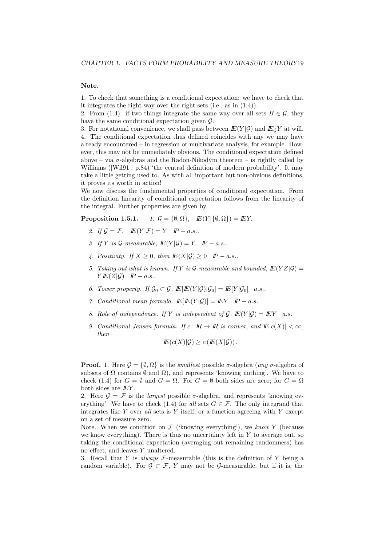#### Note.

1. To check that something is a conditional expectation: we have to check that it integrates the right way over the right sets (i.e., as in (1.4)).

2. From (1.4): if two things integrate the same way over all sets  $B \in \mathcal{G}$ , they have the same conditional expectation given  $\mathcal{G}$ .

3. For notational convenience, we shall pass between  $E(Y|\mathcal{G})$  and  $E_{\mathcal{G}}Y$  at will. 4. The conditional expectation thus defined coincides with any we may have already encountered – in regression or multivariate analysis, for example. However, this may not be immediately obvious. The conditional expectation defined above – via  $\sigma$ -algebras and the Radon-Nikodým theorem – is rightly called by Williams ([Wil91], p.84) 'the central definition of modern probability'. It may take a little getting used to. As with all important but non-obvious definitions, it proves its worth in action!

We now discuss the fundamental properties of conditional expectation. From the definition linearity of conditional expectation follows from the linearity of the integral. Further properties are given by

**Proposition 1.5.1.**  $1. \mathcal{G} = \{\emptyset, \Omega\}, \mathbb{E}(Y | \{\emptyset, \Omega\}) = \mathbb{E}Y.$ 

- 2. If  $\mathcal{G} = \mathcal{F}$ ,  $\mathbb{E}(Y|\mathcal{F}) = Y \quad P a.s..$
- 3. If Y is  $\mathcal{G}\text{-}measurable, E(Y|\mathcal{G}) = Y \quad P a.s..$
- 4. Positivity. If  $X \geq 0$ , then  $E(X|\mathcal{G}) \geq 0$   $\mathbb{P}-a.s.$ .
- 5. Taking out what is known. If Y is G-measurable and bounded,  $E(YZ|\mathcal{G}) =$  $Y E(Z|\mathcal{G})$   $P-a.s..$
- 6. Tower property. If  $\mathcal{G}_0 \subset \mathcal{G}$ ,  $\mathbb{E}[\mathbb{E}(Y|\mathcal{G})|\mathcal{G}_0] = \mathbb{E}[Y|\mathcal{G}_0]$  a.s..
- 7. Conditional mean formula.  $\mathbb{E}[E(Y|\mathcal{G})] = EY \quad P a.s.$
- 8. Role of independence. If Y is independent of G,  $E(Y|\mathcal{G}) = EY$  a.s.
- 9. Conditional Jensen formula. If  $c: \mathbb{R} \to \mathbb{R}$  is convex, and  $\mathbb{E}|c(X)| < \infty$ , then

$$
I\!\!E(c(X)|\mathcal{G}) \geq c(I\!\!E(X|\mathcal{G})).
$$

**Proof.** 1. Here  $\mathcal{G} = \{\emptyset, \Omega\}$  is the *smallest* possible  $\sigma$ -algebra (*any*  $\sigma$ -algebra of subsets of  $\Omega$  contains  $\emptyset$  and  $\Omega$ ), and represents 'knowing nothing'. We have to check (1.4) for  $G = \emptyset$  and  $G = \Omega$ . For  $G = \emptyset$  both sides are zero; for  $G = \Omega$ both sides are  $EY$ .

2. Here  $\mathcal{G} = \mathcal{F}$  is the *largest* possible  $\sigma$ -algebra, and represents 'knowing everything'. We have to check (1.4) for all sets  $G \in \mathcal{F}$ . The only integrand that integrates like  $Y$  over all sets is  $Y$  itself, or a function agreeing with  $Y$  except on a set of measure zero.

Note. When we condition on  $\mathcal F$  ('knowing everything'), we know Y (because we know everything). There is thus no uncertainty left in  $Y$  to average out, so taking the conditional expectation (averaging out remaining randomness) has no effect, and leaves Y unaltered.

3. Recall that Y is always  $\mathcal{F}\text{-measurable}$  (this is the definition of Y being a random variable). For  $\mathcal{G} \subset \mathcal{F}$ , Y may not be  $\mathcal{G}$ -measurable, but if it is, the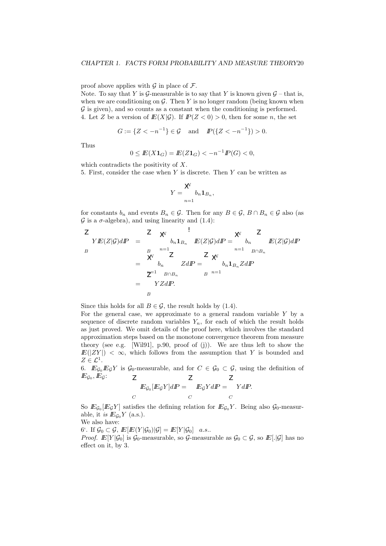proof above applies with  $\mathcal G$  in place of  $\mathcal F$ .

Note. To say that Y is  $\mathcal G$ -measurable is to say that Y is known given  $\mathcal G$  – that is, when we are conditioning on  $\mathcal G$ . Then Y is no longer random (being known when  $\mathcal G$  is given), and so counts as a constant when the conditioning is performed. 4. Let Z be a version of  $E(X|\mathcal{G})$ . If  $P(Z < 0) > 0$ , then for some n, the set

$$
G := \{ Z < -n^{-1} \} \in \mathcal{G} \quad \text{and} \quad \mathbb{P}(\{ Z < -n^{-1} \}) > 0.
$$

Thus

$$
0 \le E(X\mathbf{1}_G) = E(Z\mathbf{1}_G) < -n^{-1}P(G) < 0,
$$

which contradicts the positivity of X. 5. First, consider the case when  $Y$  is discrete. Then  $Y$  can be written as

$$
Y = \sum_{n=1}^{X} b_n \mathbf{1}_{B_n},
$$

for constants  $b_n$  and events  $B_n \in \mathcal{G}$ . Then for any  $B \in \mathcal{G}$ ,  $B \cap B_n \in \mathcal{G}$  also (as  $G$  is a  $\sigma$ -algebra), and using linearity and (1.4):

$$
\begin{array}{rcl}\nZ & & & & \\
\mathcal{L} & & & & \\
YE(Z|\mathcal{G})dP & = & & b_n \mathbf{1}_{B_n} & E(Z|\mathcal{G})dP = \frac{\mathcal{N}}{b_n} & & \\
\mathcal{L} & & & & b_n \mathcal{L}(Z|\mathcal{G})dP \\
\mathcal{L} & & & & & \\
\mathcal{L} & & & & & \\
\mathcal{L} & & & & & \\
\mathcal{L} & & & & & \\
\mathcal{L} & & & & & \\
\mathcal{L} & & & & & \\
\mathcal{L} & & & & & \\
\mathcal{L} & & & & & \\
\mathcal{L} & & & & & \\
\mathcal{L} & & & & & \\
\mathcal{L} & & & & & \\
\mathcal{L} & & & & & \\
\mathcal{L} & & & & & \\
\mathcal{L} & & & & & \\
\mathcal{L} & & & & & \\
\mathcal{L} & & & & & \\
\mathcal{L} & & & & & \\
\mathcal{L} & & & & & \\
\mathcal{L} & & & & & \\
\mathcal{L} & & & & & \\
\mathcal{L} & & & & & \\
\mathcal{L} & & & & & \\
\mathcal{L} & & & & & \\
\mathcal{L} & & & & & \\
\mathcal{L} & & & & & \\
\mathcal{L} & & & & & \\
\mathcal{L} & & & & & \\
\mathcal{L} & & & & & \\
\
$$

Since this holds for all  $B \in \mathcal{G}$ , the result holds by (1.4).

For the general case, we approximate to a general random variable  $Y$  by a sequence of discrete random variables  $Y_n$ , for each of which the result holds as just proved. We omit details of the proof here, which involves the standard approximation steps based on the monotone convergence theorem from measure theory (see e.g. [Wil91], p.90, proof of (j)). We are thus left to show the  $E(|ZY|) < \infty$ , which follows from the assumption that Y is bounded and  $Z \in \mathcal{L}^1$ .

6.  $\mathbb{E}_{\mathcal{G}_0}\mathbb{E}_{\mathcal{G}}Y$  is  $\mathcal{G}_0$ -measurable, and for  $C \in \mathcal{G}_0 \subset \mathcal{G}$ , using the definition of  $I\!\!E_{\mathcal{G}_0}, I\!\!E_{\mathcal{G}}:$   $\mathbb{Z}$ 

$$
E_{\mathcal{G}_0}[E_{\mathcal{G}}Y]dP = \left[ \begin{array}{cc} E_{\mathcal{G}}YdP = & YdP \\ C & C \end{array} \right]
$$

So  $E_{\mathcal{G}_0}[E_{\mathcal{G}}Y]$  satisfies the defining relation for  $E_{\mathcal{G}_0}Y$ . Being also  $\mathcal{G}_0$ -measurable, it is  $I\!\!E_{\mathcal{G}_0} Y$  (a.s.).

We also have:

6'. If  $\mathcal{G}_0 \subset \mathcal{G}, \, \mathbb{E}[\mathbb{E}(Y|\mathcal{G}_0)|\mathcal{G}] = \mathbb{E}[Y|\mathcal{G}_0]$  a.s..

*Proof.*  $\mathbb{E}[Y|\mathcal{G}_0]$  is  $\mathcal{G}_0$ -measurable, so  $\mathcal{G}_0$ -measurable as  $\mathcal{G}_0 \subset \mathcal{G}$ , so  $\mathbb{E}[\cdot|\mathcal{G}]$  has no effect on it, by 3.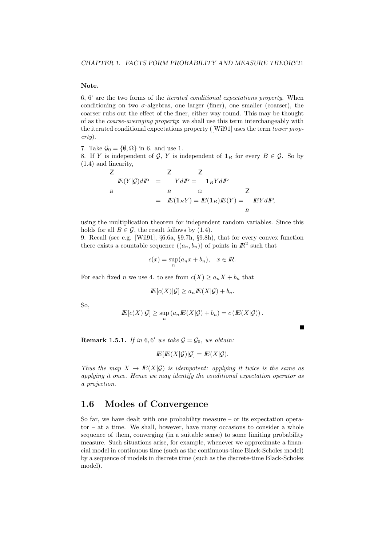#### Note.

6, 6' are the two forms of the iterated conditional expectations property. When conditioning on two  $\sigma$ -algebras, one larger (finer), one smaller (coarser), the coarser rubs out the effect of the finer, either way round. This may be thought of as the coarse-averaging property: we shall use this term interchangeably with the iterated conditional expectations property ([Wil91] uses the term *tower prop*erty).

7. Take  $\mathcal{G}_0 = \{\emptyset, \Omega\}$  in 6. and use 1.

8. If Y is independent of G, Y is independent of  $\mathbf{1}_B$  for every  $B \in \mathcal{G}$ . So by (1.4) and linearity,

$$
Z \nE(Y|\mathcal{G})dP = \n\begin{array}{rcl} Z & Z \\ YdP = & \mathbf{1}_B YdP \\ B & \Omega & Z \\ E(\mathbf{1}_B Y) = E(\mathbf{1}_B)E(Y) = & EYdP, \end{array}
$$

using the multiplication theorem for independent random variables. Since this holds for all  $B \in \mathcal{G}$ , the result follows by (1.4).

9. Recall (see e.g. [Wil91], §6.6a, §9.7h, §9.8h), that for every convex function there exists a countable sequence  $((a_n, b_n))$  of points in  $\mathbb{R}^2$  such that

$$
c(x) = \sup_n (a_n x + b_n), \quad x \in \mathbb{R}.
$$

For each fixed *n* we use 4. to see from  $c(X) \ge a_n X + b_n$  that

$$
I\!\!E[c(X)|\mathcal{G}] \ge a_n I\!\!E(X|\mathcal{G}) + b_n
$$

So,

$$
E[c(X)|\mathcal{G}] \ge \sup_n (a_n E(X|\mathcal{G}) + b_n) = c(E(X|\mathcal{G})).
$$

П

**Remark 1.5.1.** If in 6,6' we take  $\mathcal{G} = \mathcal{G}_0$ , we obtain:

$$
I\!\!E[E(X|\mathcal{G})|\mathcal{G}] = I\!\!E(X|\mathcal{G}).
$$

Thus the map  $X \to E(X|\mathcal{G})$  is idempotent: applying it twice is the same as applying it once. Hence we may identify the conditional expectation operator as a projection.

## 1.6 Modes of Convergence

So far, we have dealt with one probability measure – or its expectation opera $tor - at a time$ . We shall, however, have many occasions to consider a whole sequence of them, converging (in a suitable sense) to some limiting probability measure. Such situations arise, for example, whenever we approximate a financial model in continuous time (such as the continuous-time Black-Scholes model) by a sequence of models in discrete time (such as the discrete-time Black-Scholes model).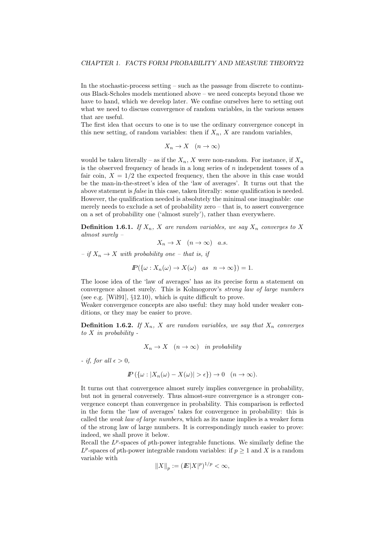In the stochastic-process setting – such as the passage from discrete to continuous Black-Scholes models mentioned above – we need concepts beyond those we have to hand, which we develop later. We confine ourselves here to setting out what we need to discuss convergence of random variables, in the various senses that are useful.

The first idea that occurs to one is to use the ordinary convergence concept in this new setting, of random variables: then if  $X_n$ , X are random variables,

$$
X_n \to X \quad (n \to \infty)
$$

would be taken literally – as if the  $X_n$ , X were non-random. For instance, if  $X_n$ is the observed frequency of heads in a long series of  $n$  independent tosses of a fair coin,  $X = 1/2$  the expected frequency, then the above in this case would be the man-in-the-street's idea of the 'law of averages'. It turns out that the above statement is *false* in this case, taken literally: some qualification is needed. However, the qualification needed is absolutely the minimal one imaginable: one merely needs to exclude a set of probability zero  $-$  that is, to assert convergence on a set of probability one ('almost surely'), rather than everywhere.

**Definition 1.6.1.** If  $X_n$ , X are random variables, we say  $X_n$  converges to X almost surely –

$$
X_n \to X \quad (n \to \infty) \quad a.s.
$$

 $-$  if  $X_n \to X$  with probability one – that is, if

$$
I\!\!P(\{\omega: X_n(\omega) \to X(\omega) \quad as \quad n \to \infty\}) = 1.
$$

The loose idea of the 'law of averages' has as its precise form a statement on convergence almost surely. This is Kolmogorov's strong law of large numbers (see e.g. [Wil91], §12.10), which is quite difficult to prove.

Weaker convergence concepts are also useful: they may hold under weaker conditions, or they may be easier to prove.

**Definition 1.6.2.** If  $X_n$ , X are random variables, we say that  $X_n$  converges to  $X$  in probability -

$$
X_n \to X \quad (n \to \infty) \quad in \ probability
$$

- if, for all  $\epsilon > 0$ ,

$$
I\!\!P\left(\{\omega: |X_n(\omega) - X(\omega)| > \epsilon\}\right) \to 0 \quad (n \to \infty).
$$

It turns out that convergence almost surely implies convergence in probability, but not in general conversely. Thus almost-sure convergence is a stronger convergence concept than convergence in probability. This comparison is reflected in the form the 'law of averages' takes for convergence in probability: this is called the weak law of large numbers, which as its name implies is a weaker form of the strong law of large numbers. It is correspondingly much easier to prove: indeed, we shall prove it below.

Recall the  $L^p$ -spaces of pth-power integrable functions. We similarly define the  $L^p$ -spaces of pth-power integrable random variables: if  $p \geq 1$  and X is a random variable with

$$
||X||_p := (||X||^p)^{1/p} < \infty,
$$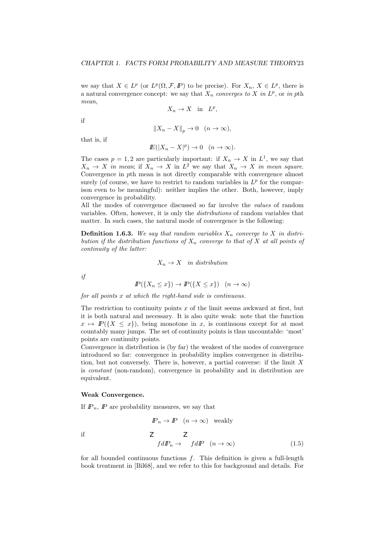we say that  $X \in L^p$  (or  $L^p(\Omega, \mathcal{F}, \mathbb{P})$  to be precise). For  $X_n, X \in L^p$ , there is a natural convergence concept: we say that  $X_n$  converges to X in  $L^p$ , or in pth mean,

$$
X_n \to X \quad \text{in} \quad L^p,
$$

if

$$
||X_n - X||_p \to 0 \quad (n \to \infty),
$$

that is, if

$$
I\!\!E(|X_n - X|^p) \to 0 \quad (n \to \infty).
$$

The cases  $p = 1, 2$  are particularly important: if  $X_n \to X$  in  $L^1$ , we say that  $X_n \to X$  in mean; if  $X_n \to X$  in  $L^2$  we say that  $X_n \to X$  in mean square. Convergence in pth mean is not directly comparable with convergence almost surely (of course, we have to restrict to random variables in  $L^p$  for the comparison even to be meaningful): neither implies the other. Both, however, imply convergence in probability.

All the modes of convergence discussed so far involve the values of random variables. Often, however, it is only the distributions of random variables that matter. In such cases, the natural mode of convergence is the following:

**Definition 1.6.3.** We say that random variables  $X_n$  converge to X in distribution if the distribution functions of  $X_n$  converge to that of X at all points of continuity of the latter:

$$
X_n \to X \quad in \ distribution
$$

if

$$
I\!\!P(\{X_n \le x\}) \to I\!\!P(\{X \le x\}) \quad (n \to \infty)
$$

for all points x at which the right-hand side is continuous.

The restriction to continuity points  $x$  of the limit seems awkward at first, but it is both natural and necessary. It is also quite weak: note that the function  $x \mapsto \mathbb{P}(\{X \leq x\})$ , being monotone in x, is continuous except for at most countably many jumps. The set of continuity points is thus uncountable: 'most' points are continuity points.

Convergence in distribution is (by far) the weakest of the modes of convergence introduced so far: convergence in probability implies convergence in distribution, but not conversely. There is, however, a partial converse: if the limit  $X$ is constant (non-random), convergence in probability and in distribution are equivalent.

#### Weak Convergence.

If  $\mathbb{P}_n$ ,  $\mathbb{P}$  are probability measures, we say that

if 
$$
I\!\!P_n \to I\!\!P \quad (n \to \infty) \quad \text{weakly}
$$
\n
$$
Z \qquad Z
$$
\n
$$
f dI\!\!P_n \to f dI\!\!P \quad (n \to \infty) \tag{1.5}
$$

for all bounded continuous functions  $f$ . This definition is given a full-length book treatment in [Bil68], and we refer to this for background and details. For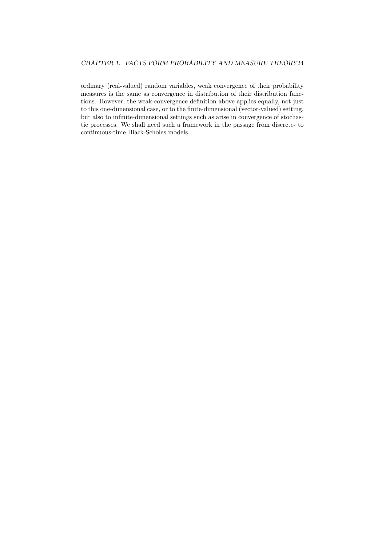#### CHAPTER 1. FACTS FORM PROBABILITY AND MEASURE THEORY24

ordinary (real-valued) random variables, weak convergence of their probability measures is the same as convergence in distribution of their distribution functions. However, the weak-convergence definition above applies equally, not just to this one-dimensional case, or to the finite-dimensional (vector-valued) setting, but also to infinite-dimensional settings such as arise in convergence of stochastic processes. We shall need such a framework in the passage from discrete- to continuous-time Black-Scholes models.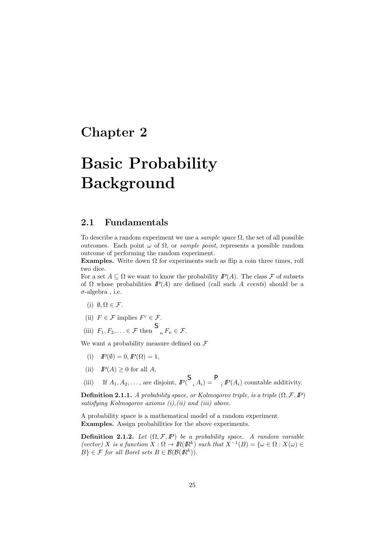## Chapter 2

# Basic Probability Background

## 2.1 Fundamentals

To describe a random experiment we use a *sample space*  $\Omega$ , the set of all possible outcomes. Each point ω of Ω, or sample point, represents a possible random outcome of performing the random experiment.

Examples. Write down  $\Omega$  for experiments such as flip a coin three times, roll two dice.

For a set  $A \subseteq \Omega$  we want to know the probability  $P(A)$ . The class F of subsets of  $\Omega$  whose probabilities  $I\!\!P(A)$  are defined (call such A events) should be a  $\sigma$ -algebra, i.e.

- (i)  $\emptyset, \Omega \in \mathcal{F}$ .
- (ii)  $F \in \mathcal{F}$  implies  $F^c \in \mathcal{F}$ .
- (iii)  $F_1, F_2, \ldots \in \mathcal{F}$  then  $\bigcap_{n} F_n \in \mathcal{F}$ .

We want a probability measure defined on  $\mathcal F$ 

- (i)  $I\!\!P(\emptyset) = 0, I\!\!P(\Omega) = 1,$
- (ii)  $I\!\!P(A) \geq 0$  for all A,

(iii) If  $A_1, A_2, \ldots$ , are disjoint,  $IP(\bigcup_i A_i) = \bigcup_i P(A_i)$  countable additivity.

**Definition 2.1.1.** A probability space, or Kolmogorov triple, is a triple  $(\Omega, \mathcal{F}, \mathbb{P})$ satisfying Kolmogorov axioms  $(i)$ , $(ii)$  and  $(iii)$  above.

A probability space is a mathematical model of a random experiment. Examples. Assign probabilities for the above experiments.

**Definition 2.1.2.** Let  $(\Omega, \mathcal{F}, \mathbb{P})$  be a probability space. A random variable (vector) X is a function  $X : \Omega \to \mathbb{R}(\mathbb{R}^k)$  such that  $X^{-1}(B) = \{ \omega \in \Omega : X(\omega) \in$  $B\} \in \mathcal{F}$  for all Borel sets  $B \in \mathcal{B}(\mathcal{B}(I\!\!R^k)).$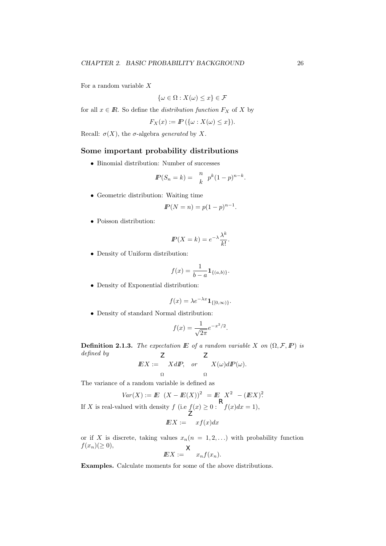For a random variable  $X$ 

$$
\{\omega \in \Omega : X(\omega) \le x\} \in \mathcal{F}
$$

for all  $x \in \mathbb{R}$ . So define the *distribution function*  $F_X$  of X by

$$
F_X(x) := \mathbb{P}\left(\{\omega : X(\omega) \le x\}\right).
$$

Recall:  $\sigma(X)$ , the  $\sigma$ -algebra generated by X.

#### Some important probability distributions

• Binomial distribution: Number of successes

$$
I\!\!P(S_n = k) = \frac{n}{k} p^k (1-p)^{n-k}.
$$

• Geometric distribution: Waiting time

$$
I\!\!P(N = n) = p(1 - p)^{n-1}.
$$

• Poisson distribution:

$$
I\!\!P(X=k) = e^{-\lambda} \frac{\lambda^k}{k!}.
$$

• Density of Uniform distribution:

$$
f(x) = \frac{1}{b-a} \mathbf{1}_{\{(a,b)\}}.
$$

• Density of Exponential distribution:

$$
f(x) = \lambda e^{-\lambda x} \mathbf{1}_{\{[0,\infty)\}}.
$$

• Density of standard Normal distribution:

$$
f(x) = \frac{1}{\sqrt{2\pi}} e^{-x^2/2}.
$$

**Definition 2.1.3.** The expectation  $\mathbf{E}$  of a random variable X on  $(\Omega, \mathcal{F}, \mathbf{P})$  is defined by

$$
I\!\!E X := X dI\!\!P, \quad or \quad X(\omega) dI\!\!P(\omega).
$$

The variance of a random variable is defined as

$$
Var(X) := E\ (X - E(X))^2 = E\ X^2 - (E(X))^2
$$

If X is real-valued with density  $f$  (i.e  $f(x) \geq 0$ :  $f(x)dx = 1$ ),

$$
E X := \quad x f(x) dx
$$

or if X is discrete, taking values  $x_n(n = 1, 2, ...)$  with probability function  $f(x_n)(\geq 0)$ ,  $\times$ 

$$
EX := \int x_n f(x_n).
$$

Examples. Calculate moments for some of the above distributions.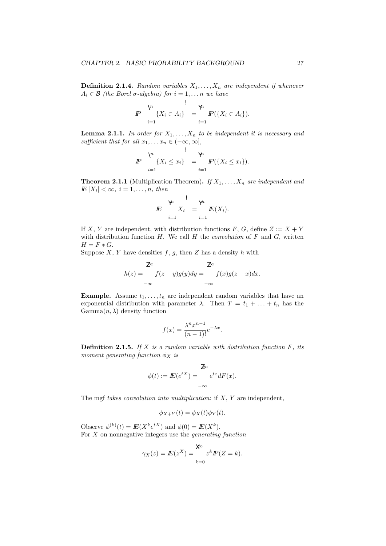**Definition 2.1.4.** Random variables  $X_1, \ldots, X_n$  are independent if whenever  $A_i \in \mathcal{B}$  (the Borel  $\sigma$ -algebra) for  $i = 1, \ldots n$  we have

 $\overline{1}$ 

$$
I\!\!P \quad \Big\{X_i \in A_i\Big\} \quad = \, \big\{P(\{X_i \in A_i\}).
$$

**Lemma 2.1.1.** In order for  $X_1, \ldots, X_n$  to be independent it is necessary and sufficient that for all  $x_1, \ldots x_n \in (-\infty, \infty]$ ,

$$
I\!\!P \quad \bigvee_{i=1}^{\forall i} \{X_i \leq x_i\} \quad = \quad \bigvee_{i=1}^{\forall i} I\!\!P(\{X_i \leq x_i\}).
$$

**Theorem 2.1.1** (Multiplication Theorem). If  $X_1, \ldots, X_n$  are independent and  $E|X_i| < \infty$ ,  $i = 1, \ldots, n$ , then

$$
E\bigg|_{i=1}^{\forall h} X_i = \bigvee_{i=1}^{\forall h} E(X_i).
$$

If X, Y are independent, with distribution functions F, G, define  $Z := X + Y$ with distribution function  $H$ . We call  $H$  the *convolution* of  $F$  and  $G$ , written  $H = F \ast G.$ 

Suppose  $X, Y$  have densities  $f, g$ , then  $Z$  has a density  $h$  with

$$
h(z) = \int_{-\infty}^{\infty} f(z - y)g(y)dy = \int_{-\infty}^{\infty} f(x)g(z - x)dx.
$$

**Example.** Assume  $t_1, \ldots, t_n$  are independent random variables that have an exponential distribution with parameter  $\lambda$ . Then  $T = t_1 + \ldots + t_n$  has the  $\text{Gamma}(n, \lambda)$  density function

$$
f(x) = \frac{\lambda^n x^{n-1}}{(n-1)!} e^{-\lambda x}.
$$

**Definition 2.1.5.** If X is a random variable with distribution function  $F$ , its moment generating function  $\phi_X$  is

$$
\phi(t) := I\!\!E(e^{tX}) = \int_{-\infty}^{\infty} e^{tx} dF(x).
$$

The mgf takes convolution into multiplication: if  $X, Y$  are independent,

$$
\phi_{X+Y}(t) = \phi_X(t)\phi_Y(t).
$$

Observe  $\phi^{(k)}(t) = \mathbb{E}(X^k e^{tX})$  and  $\phi(0) = \mathbb{E}(X^k)$ . For  $X$  on nonnegative integers use the *generating function* 

$$
\gamma_X(z) = E(z^X) = \sum_{k=0}^{\infty} z^k I\!\!P(Z = k).
$$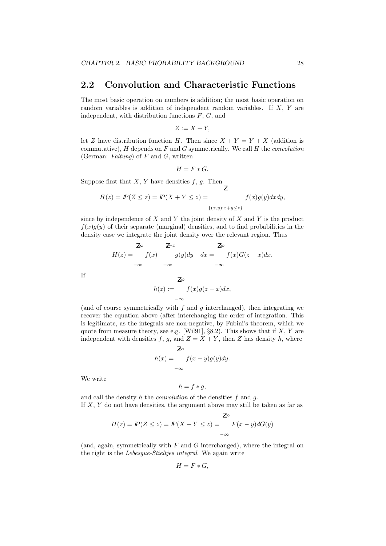## 2.2 Convolution and Characteristic Functions

The most basic operation on numbers is addition; the most basic operation on random variables is addition of independent random variables. If X, Y are independent, with distribution functions  $F, G$ , and

$$
Z := X + Y,
$$

let Z have distribution function H. Then since  $X + Y = Y + X$  (addition is commutative),  $H$  depends on  $F$  and  $G$  symmetrically. We call  $H$  the *convolution* (German: Faltung) of  $F$  and  $G$ , written

$$
H = F * G.
$$

Suppose first that  $X, Y$  have densities  $f, g$ . Then

$$
H(z) = \mathbb{P}(Z \le z) = \mathbb{P}(X + Y \le z) = \int_{\{(x,y):x+y\le z\}} f(x)g(y)dxdy,
$$

since by independence of  $X$  and  $Y$  the joint density of  $X$  and  $Y$  is the product  $f(x)g(y)$  of their separate (marginal) densities, and to find probabilities in the density case we integrate the joint density over the relevant region. Thus

$$
H(z) = \begin{cases} \n\frac{z}{z} & \text{if } z = z\\
f(x) & \text{if } y = z\\
-\infty & -\infty\n\end{cases} \quad \text{if } y = z \quad \text{if } z \in \mathbb{R} \quad \text{if } z = z \quad \text{if } z \in \mathbb{R} \quad \text{if } z = z \quad \text{if } z \in \mathbb{R} \quad \text{if } z = z \quad \text{if } z \in \mathbb{R} \quad \text{if } z = z \quad \text{if } z \in \mathbb{R} \quad \text{if } z = z \quad \text{if } z \in \mathbb{R} \quad \text{if } z = z \quad \text{if } z \in \mathbb{R} \quad \text{if } z = z \quad \text{if } z \in \mathbb{R} \quad \text{if } z = z \quad \text{if } z \in \mathbb{R} \quad \text{if } z = z \quad \text{if } z \in \mathbb{R} \quad \text{if } z = z \quad \text{if } z \in \mathbb{R} \quad \text{if } z = z \quad \text{if } z \in \mathbb{R} \quad \text{if } z = z \quad \text{if } z \in \mathbb{R} \quad \text{if } z = z \quad \text{if } z \in \mathbb{R} \quad \text{if } z \in \mathbb{R} \quad \text{if } z \in \mathbb{R} \quad \text{if } z \in \mathbb{R} \quad \text{if } z \in \mathbb{R} \quad \text{if } z \in \mathbb{R} \quad \text{if } z \in \mathbb{R} \quad \text{if } z \in \mathbb{R} \quad \text{if } z \in \mathbb{R} \quad \text{if } z \in \mathbb{R} \quad \text{if } z \in \mathbb{R} \quad \text{if } z \in \mathbb{R} \quad \text{if } z \in \mathbb{R} \quad \text{if } z \in \mathbb{R} \quad \text{if } z \in \mathbb{R} \quad \text{if } z \in \mathbb{R} \quad \text{if } z \in \mathbb{R} \quad \text{if } z \in \mathbb{R} \quad \text{if } z \in \mathbb{R} \quad \text{if } z \in \mathbb{R} \quad \text{if } z \in \mathbb{R} \quad \text{if } z \in \math
$$

If

$$
h(z) := \int_{-\infty}^{\infty} f(x)g(z-x)dx,
$$

(and of course symmetrically with  $f$  and  $g$  interchanged), then integrating we recover the equation above (after interchanging the order of integration. This is legitimate, as the integrals are non-negative, by Fubini's theorem, which we quote from measure theory, see e.g. [Wil91],  $\S 8.2$ ). This shows that if X, Y are independent with densities f, g, and  $Z = X + Y$ , then Z has density h, where

$$
h(x) = \int_{-\infty}^{\infty} f(x - y)g(y)dy.
$$

We write

$$
h = f * g,
$$

and call the density  $h$  the *convolution* of the densities  $f$  and  $q$ . If  $X, Y$  do not have densities, the argument above may still be taken as far as

$$
H(z) = I\!\!P(Z \le z) = I\!\!P(X + Y \le z) = \int_{-\infty}^{\mathbb{Z}\infty} F(x - y) dG(y)
$$

(and, again, symmetrically with  $F$  and  $G$  interchanged), where the integral on the right is the Lebesgue-Stieltjes integral. We again write

$$
H = F * G,
$$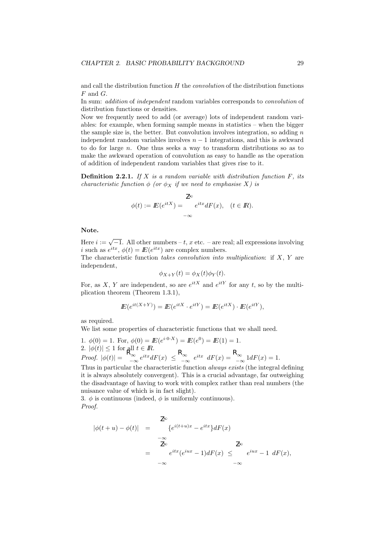and call the distribution function  $H$  the *convolution* of the distribution functions  $F$  and  $G$ .

In sum: addition of independent random variables corresponds to convolution of distribution functions or densities.

Now we frequently need to add (or average) lots of independent random variables: for example, when forming sample means in statistics – when the bigger the sample size is, the better. But convolution involves integration, so adding  $n$ independent random variables involves  $n - 1$  integrations, and this is awkward to do for large  $n$ . One thus seeks a way to transform distributions so as to make the awkward operation of convolution as easy to handle as the operation of addition of independent random variables that gives rise to it.

**Definition 2.2.1.** If X is a random variable with distribution function  $F$ , its characteristic function  $\phi$  (or  $\phi_X$  if we need to emphasise X) is

$$
\phi(t) := \mathbb{E}(e^{itX}) = \int_{-\infty}^{\infty} e^{itx} dF(x), \quad (t \in \mathbb{R}).
$$

Note.

Here  $i := \sqrt{-1}$ . All other numbers – t, x etc. – are real; all expressions involving i such as  $e^{itx}$ ,  $\phi(t) = \mathbb{E}(e^{itx})$  are complex numbers.

The characteristic function takes convolution into multiplication: if  $X, Y$  are independent,

$$
\phi_{X+Y}(t) = \phi_X(t)\phi_Y(t).
$$

For, as X, Y are independent, so are  $e^{itX}$  and  $e^{itY}$  for any t, so by the multiplication theorem (Theorem 1.3.1),

$$
I\!\!E(e^{it(X+Y)})=I\!\!E(e^{itX}\cdot e^{itY})=I\!\!E(e^{itX})\cdot I\!\!E(e^{itY}),
$$

as required.

We list some properties of characteristic functions that we shall need.

1.  $\phi(0) = 1$ . For,  $\phi(0) = \mathbb{E}(e^{i \cdot 0 \cdot X}) = \mathbb{E}(e^{0}) = \mathbb{E}(1) = 1$ . 2.  $|\phi(t)| \leq 1$  for all  $t \in \mathbb{R}$ . Proof.  $|\phi(t)| = \int_{-\infty}^{\infty} e^{itx} dF(x) \leq \int_{-\infty}^{\infty} e^{itx} dF(x) = \int_{-\infty}^{\infty} 1 dF(x) = 1.$ 

Thus in particular the characteristic function *always exists* (the integral defining it is always absolutely convergent). This is a crucial advantage, far outweighing the disadvantage of having to work with complex rather than real numbers (the nuisance value of which is in fact slight).

3.  $\phi$  is continuous (indeed,  $\phi$  is uniformly continuous). Proof.

$$
|\phi(t+u) - \phi(t)| = \begin{cases} \n\overline{z}^{\infty} & \text{if } |e^{i(t+u)x} - e^{itx}|dF(x) \\ \n-\infty & \text{if } |e^{itx} - e^{itx}|dF(x) \leq \text{if } |e^{iux} - 1|dF(x), \\ \n-\infty & -\infty \n\end{cases}
$$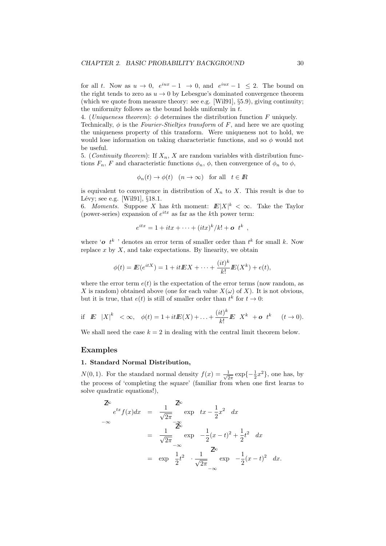for all t. Now as  $u \to 0$ ,  $e^{iux} - 1 \to 0$ , and  $e^{iux} - 1 \leq 2$ . The bound on the right tends to zero as  $u \to 0$  by Lebesgue's dominated convergence theorem (which we quote from measure theory: see e.g. [Wil91], §5.9), giving continuity; the uniformity follows as the bound holds uniformly in  $t$ .

4. (*Uniqueness theorem*):  $\phi$  determines the distribution function F uniquely.

Technically,  $\phi$  is the *Fourier-Stieltjes transform* of F, and here we are quoting the uniqueness property of this transform. Were uniqueness not to hold, we would lose information on taking characteristic functions, and so  $\phi$  would not be useful.

5. (*Continuity theorem*): If  $X_n$ , X are random variables with distribution functions  $F_n$ , F and characteristic functions  $\phi_n$ ,  $\phi$ , then convergence of  $\phi_n$  to  $\phi$ ,

$$
\phi_n(t) \to \phi(t) \quad (n \to \infty)
$$
 for all  $t \in \mathbb{R}$ 

is equivalent to convergence in distribution of  $X_n$  to X. This result is due to Lévy; see e.g. [Wil $91$ ],  $§18.1$ .

6. Moments. Suppose X has kth moment:  $E|X|^k < \infty$ . Take the Taylor (power-series) expansion of  $e^{itx}$  as far as the kth power term:

$$
e^{itx} = 1 + itx + \dots + (itx)^k / k! + \mathbf{o} t^k,
$$

where ' $o$   $t^k$  ' denotes an error term of smaller order than  $t^k$  for small k. Now replace  $x$  by  $X$ , and take expectations. By linearity, we obtain

$$
\phi(t) = \mathbf{E}(e^{itX}) = 1 + it\mathbf{E}X + \dots + \frac{(it)^k}{k!}\mathbf{E}(X^k) + e(t),
$$

where the error term  $e(t)$  is the expectation of the error terms (now random, as X is random) obtained above (one for each value  $X(\omega)$  of X). It is not obvious, but it is true, that  $e(t)$  is still of smaller order than  $t^k$  for  $t \to 0$ :

if 
$$
\mathbf{E} |X|^k < \infty
$$
,  $\phi(t) = 1 + it\mathbf{E}(X) + ... + \frac{(it)^k}{k!} \mathbf{E} X^k + \mathbf{o} t^k$   $(t \to 0)$ .

We shall need the case  $k = 2$  in dealing with the central limit theorem below.

#### Examples

#### 1. Standard Normal Distribution,

 $N(0, 1)$ . For the standard normal density  $f(x) = \frac{1}{\sqrt{6}}$  $\frac{1}{2\pi} \exp\{-\frac{1}{2}x^2\}$ , one has, by the process of 'completing the square' (familiar from when one first learns to solve quadratic equations!),

$$
\int_{-\infty}^{\infty} e^{tx} f(x) dx = \frac{1}{\sqrt{2\pi}} \int_{-\infty}^{\infty} \exp tx - \frac{1}{2} x^2 dx
$$
  
= 
$$
\frac{1}{\sqrt{2\pi}} \int_{-\infty}^{\infty} \exp t - \frac{1}{2} (x - t)^2 + \frac{1}{2} t^2 dx
$$
  
= 
$$
\exp \frac{1}{2} t^2 \cdot \frac{1}{\sqrt{2\pi}} \exp t - \frac{1}{2} (x - t)^2 dx.
$$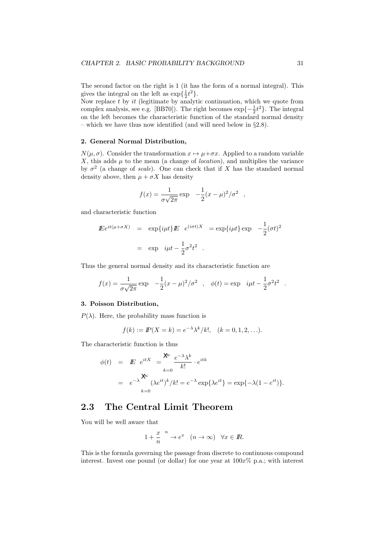The second factor on the right is 1 (it has the form of a normal integral). This gives the integral on the left as  $\exp{\{\frac{1}{2}t^2\}}$ .

Now replace  $t$  by  $it$  (legitimate by analytic continuation, which we quote from complex analysis, see e.g. [BB70]). The right becomes  $\exp\{-\frac{1}{2}t^2\}$ . The integral on the left becomes the characteristic function of the standard normal density – which we have thus now identified (and will need below in §2.8).

#### 2. General Normal Distribution,

 $N(\mu, \sigma)$ . Consider the transformation  $x \mapsto \mu + \sigma x$ . Applied to a random variable X, this adds  $\mu$  to the mean (a change of *location*), and multiplies the variance by  $\sigma^2$  (a change of scale). One can check that if X has the standard normal density above, then  $\mu + \sigma X$  has density

$$
f(x) = {1 \over {\sigma \sqrt{2\pi}}} \exp \frac{-1}{2}(x - \mu)^2 / {\sigma}^2
$$
,

and characteristic function

$$
E e^{it(\mu + \sigma X)} = \exp\{i\mu t\} E e^{(i\sigma t)X} = \exp\{i\mu t\} \exp{-\frac{1}{2}(\sigma t)^2}
$$

$$
= \exp i\mu t - \frac{1}{2}\sigma^2 t^2.
$$

Thus the general normal density and its characteristic function are

$$
f(x) = {1 \over {\sigma \sqrt{2\pi}}} \exp \frac{-1}{2}(x-\mu)^2/\sigma^2
$$
,  $\phi(t) = \exp \frac{i\mu t - {1 \over 2}\sigma^2 t^2}{}$ .

#### 3. Poisson Distribution,

 $P(\lambda)$ . Here, the probability mass function is

$$
f(k) := \mathbb{P}(X = k) = e^{-\lambda} \lambda^k / k!, \quad (k = 0, 1, 2, ...).
$$

The characteristic function is thus

$$
\begin{array}{rcl}\n\phi(t) & = & \displaystyle E \quad e^{itX} \quad = \sum_{k=0}^{\infty} \frac{e^{-\lambda} \lambda^k}{k!} \cdot e^{itk} \\
& = & \displaystyle e^{-\lambda} \sum_{k=0}^{\infty} (\lambda e^{it})^k / k! = e^{-\lambda} \exp\{\lambda e^{it}\} = \exp\{-\lambda (1 - e^{it})\}.\n\end{array}
$$

## 2.3 The Central Limit Theorem

You will be well aware that

$$
1 + \frac{x}{n} \xrightarrow{n} e^x \quad (n \to \infty) \quad \forall x \in \mathbb{R}.
$$

This is the formula governing the passage from discrete to continuous compound interest. Invest one pound (or dollar) for one year at  $100x\%$  p.a.; with interest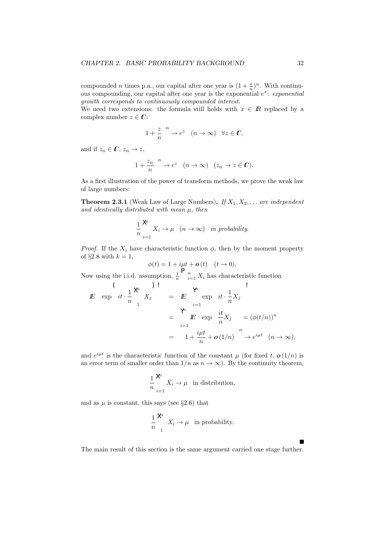compounded *n* times p.a., our capital after one year is  $(1 + \frac{x}{n})^n$ . With continuous compounding, our capital after one year is the exponential  $e^x$ : exponential growth corresponds to continuously compounded interest.

We need two extensions: the formula still holds with  $x \in \mathbb{R}$  replaced by a complex number  $z \in \mathbb{C}$ :

$$
1 + \frac{z}{n} \xrightarrow{n} e^z \quad (n \to \infty) \quad \forall z \in \mathbb{C},
$$

and if  $z_n \in \mathbb{C}, z_n \to z$ ,

$$
1 + \frac{z_n}{n} \xrightarrow{n} e^z \quad (n \to \infty) \quad (z_n \to z \in \mathbb{C}).
$$

As a first illustration of the power of transform methods, we prove the weak law of large numbers:

**Theorem 2.3.1** (Weak Law of Large Numbers). If  $X_1, X_2, \ldots$  are independent and identically distributed with mean  $\mu$ , then

$$
\frac{1}{n} \sum_{i=1}^{\mathcal{R}} X_i \to \mu \quad (n \to \infty) \quad in \ probability.
$$

*Proof.* If the  $X_i$  have characteristic function  $\phi$ , then by the moment property of  $\S 2.8$  with  $k = 1$ ,

$$
\phi(t) = 1 + i\mu t + \mathbf{o}(t) \quad (t \to 0).
$$

Now using the i.i.d. assumption,  $\frac{1}{n} \left[ \begin{array}{c} n \\ i=1 \end{array} X_i \right]$  has characteristic function  $\Delta$ 

$$
E \exp\left(it \cdot \frac{1}{n}\right)^{\mathcal{A}} X_j = E \exp\left(it \cdot \frac{1}{n}X_j\right)
$$
  
\n
$$
= \sum_{i=1}^{\mathcal{A}} E \exp\left(it \cdot \frac{1}{n}X_j\right) = (\phi(t/n))^n
$$
  
\n
$$
= 1 + \frac{i\mu t}{n} + o(1/n) \longrightarrow e^{i\mu t} \quad (n \to \infty),
$$

and  $e^{i\mu t}$  is the characteristic function of the constant  $\mu$  (for fixed t,  $\boldsymbol{o}(1/n)$  is an error term of smaller order than  $1/n$  as  $n \to \infty$ ). By the continuity theorem,

$$
\frac{1}{n} \sum_{i=1}^{\mathcal{A}^t} X_i \to \mu \quad \text{in distribution},
$$

and as  $\mu$  is constant, this says (see §2.6) that

$$
\frac{1}{n} \sum_{1}^{\mathcal{M}} X_i \to \mu \text{ in probability.}
$$

The main result of this section is the same argument carried one stage further.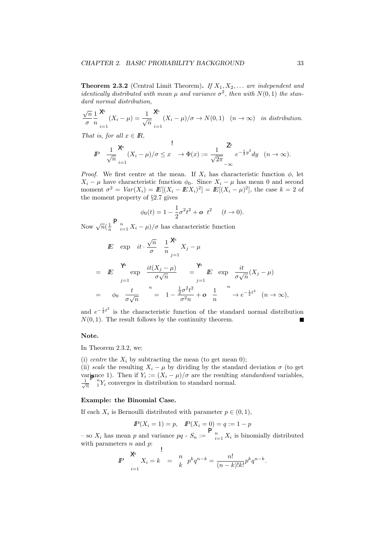**Theorem 2.3.2** (Central Limit Theorem). If  $X_1, X_2, \ldots$  are independent and *identically distributed with mean*  $\mu$  and variance  $\sigma^2$ , then with  $N(0, 1)$  the standard normal distribution,

$$
\frac{\sqrt{n}}{\sigma} \frac{1}{n} \sum_{i=1}^{\mathcal{M}} (X_i - \mu) = \frac{1}{\sqrt{n}} \sum_{i=1}^{\mathcal{M}} (X_i - \mu) / \sigma \to N(0, 1) \quad (n \to \infty) \quad \text{in distribution.}
$$

That is, for all  $x \in \mathbb{R}$ ,

$$
I\!\!P \quad \frac{1}{\sqrt{n}} \sum_{i=1}^{\infty} (X_i - \mu) / \sigma \leq x \quad \to \Phi(x) := \frac{1}{\sqrt{2\pi}} \int_{-\infty}^{x} e^{-\frac{1}{2}y^2} dy \quad (n \to \infty).
$$

*Proof.* We first centre at the mean. If  $X_i$  has characteristic function  $\phi$ , let  $X_i - \mu$  have characteristic function  $\phi_0$ . Since  $X_i - \mu$  has mean 0 and second moment  $\sigma^2 = Var(X_i) = E[(X_i - EX_i)^2] = E[(X_i - \mu)^2]$ , the case  $k = 2$  of the moment property of §2.7 gives

$$
\phi_0(t) = 1 - \frac{1}{2}\sigma^2 t^2 + \mathbf{o} \ t^2 \quad (t \to 0).
$$

Now 
$$
\sqrt{n}(\frac{1}{n}\sum_{i=1}^{n} X_i - \mu)/\sigma
$$
 has characteristic function  
\n
$$
E^{\omega} \exp \left\{ it \cdot \frac{\sqrt{n}}{\sigma} \frac{\omega}{n} \frac{1}{n} \sum_{j=1}^{n} X_j - \mu \frac{\omega}{n} \right\}
$$
\n
$$
= E^{\omega} \exp \left\{ it \cdot \frac{i(X_j - \mu)}{\sigma \sqrt{n}} \right\} = E^{\omega} \exp \left\{ it(X_j - \mu) \right\}
$$
\n
$$
= \psi_0 \frac{t}{\sigma \sqrt{n}} \sum_{j=1}^{n} \frac{1}{\sigma^2 n} \sum_{j=1}^{n} E^{\omega} \exp \left\{ it(X_j - \mu) \frac{\omega}{\sigma \sqrt{n}} (X_j - \mu) \right\}
$$
\n
$$
= \psi_0 \frac{t}{\sigma \sqrt{n}} \sum_{j=1}^{n} \frac{1}{\sigma^2 n} + o \frac{1}{n} \sum_{j=1}^{n} \psi_0 e^{-\frac{1}{2}t^2} (n \to \infty),
$$

and  $e^{-\frac{1}{2}t^2}$  is the characteristic function of the standard normal distribution  $N(0, 1)$ . The result follows by the continuity theorem. П

#### Note.

In Theorem 2.3.2, we:

(i) centre the  $X_i$  by subtracting the mean (to get mean 0); (ii) scale the resulting  $X_i - \mu$  by dividing by the standard deviation  $\sigma$  (to get variance 1). Then if  $Y_i := (X_i - \mu)/\sigma$  are the resulting standardised variables,  $\frac{1}{\sqrt{n}}$   $\int_{1}^{n} Y_i$  converges in distribution to standard normal.

#### Example: the Binomial Case.

If each  $X_i$  is Bernoulli distributed with parameter  $p \in (0,1)$ ,

$$
I\!\!P(X_i = 1) = p, \quad I\!\!P(X_i = 0) = q := 1 - p
$$

– so  $X_i$  has mean p and variance pq -  $S_n := \left[ \begin{array}{c} n \\ i=1 \end{array} X_i \right]$  is binomially distributed with parameters  $n$  and  $p$ :

$$
P \quad \sum_{i=1}^{\infty} X_i = k \quad = \quad \frac{n}{k} \quad p^k q^{n-k} = \frac{n!}{(n-k)!k!} p^k q^{n-k}.
$$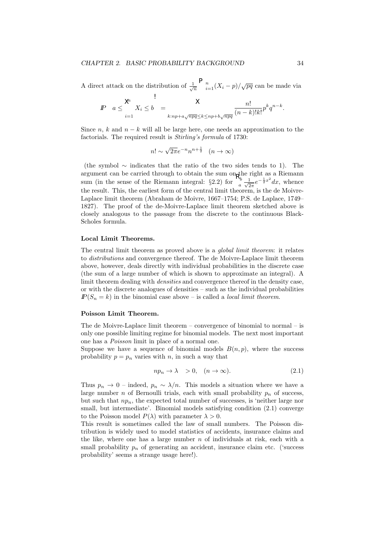A direct attack on the distribution of  $\frac{1}{\sqrt{n}} \bigg|_{i=1}^n (X_i - p) / \sqrt{pq}$  can be made via

$$
P \quad a \leq \frac{\lambda^h}{h} X_i \leq b \quad = \quad \frac{\lambda}{h \cdot np + a\sqrt{npq} \leq h \leq np + b\sqrt{npq}} \frac{n!}{(n-k)!k!} p^k q^{n-k}.
$$

Since n, k and  $n - k$  will all be large here, one needs an approximation to the factorials. The required result is *Stirling's formula* of 1730:

$$
n! \sim \sqrt{2\pi}e^{-n}n^{n+\frac{1}{2}} \quad (n \to \infty)
$$

(the symbol ∼ indicates that the ratio of the two sides tends to 1). The argument can be carried through to obtain the sum on<sub>p</sub>the right as a Riemann sum (in the sense of the Riemann integral: §2.2) for  $\frac{N_b}{a} \frac{1}{\sqrt{2}}$  $\frac{1}{2\pi}e^{-\frac{1}{2}x^2}dx$ , whence the result. This, the earliest form of the central limit theorem, is the de Moivre-Laplace limit theorem (Abraham de Moivre, 1667–1754; P.S. de Laplace, 1749– 1827). The proof of the de-Moivre-Laplace limit theorem sketched above is closely analogous to the passage from the discrete to the continuous Black-Scholes formula.

#### Local Limit Theorems.

The central limit theorem as proved above is a global limit theorem: it relates to distributions and convergence thereof. The de Moivre-Laplace limit theorem above, however, deals directly with individual probabilities in the discrete case (the sum of a large number of which is shown to approximate an integral). A limit theorem dealing with *densities* and convergence thereof in the density case, or with the discrete analogues of densities – such as the individual probabilities  $P(S_n = k)$  in the binomial case above – is called a *local limit theorem*.

#### Poisson Limit Theorem.

The de Moivre-Laplace limit theorem  $-$  convergence of binomial to normal  $-$  is only one possible limiting regime for binomial models. The next most important one has a Poisson limit in place of a normal one.

Suppose we have a sequence of binomial models  $B(n, p)$ , where the success probability  $p = p_n$  varies with n, in such a way that

$$
np_n \to \lambda \quad >0, \quad (n \to \infty). \tag{2.1}
$$

Thus  $p_n \to 0$  – indeed,  $p_n \sim \lambda/n$ . This models a situation where we have a large number *n* of Bernoulli trials, each with small probability  $p_n$  of success, but such that  $np_n$ , the expected total number of successes, is 'neither large nor small, but intermediate'. Binomial models satisfying condition  $(2.1)$  converge to the Poisson model  $P(\lambda)$  with parameter  $\lambda > 0$ .

This result is sometimes called the law of small numbers. The Poisson distribution is widely used to model statistics of accidents, insurance claims and the like, where one has a large number  $n$  of individuals at risk, each with a small probability  $p_n$  of generating an accident, insurance claim etc. ('success probability' seems a strange usage here!).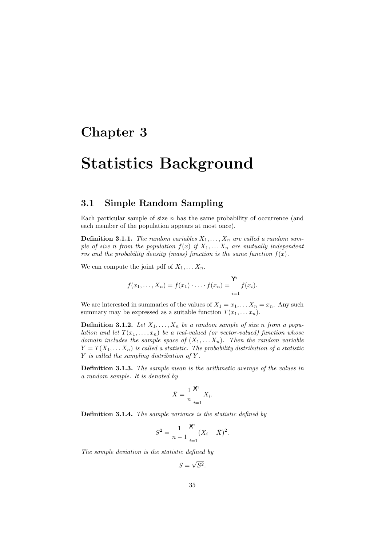## Chapter 3

# Statistics Background

## 3.1 Simple Random Sampling

Each particular sample of size  $n$  has the same probability of occurrence (and each member of the population appears at most once).

**Definition 3.1.1.** The random variables  $X_1, \ldots, X_n$  are called a random sample of size n from the population  $f(x)$  if  $X_1, \ldots, X_n$  are mutually independent rvs and the probability density (mass) function is the same function  $f(x)$ .

We can compute the joint pdf of  $X_1, \ldots, X_n$ .

$$
f(x_1,...,X_n) = f(x_1) \cdot ... \cdot f(x_n) = \sum_{i=1}^{1} f(x_i).
$$

We are interested in summaries of the values of  $X_1 = x_1, \ldots X_n = x_n$ . Any such summary may be expressed as a suitable function  $T(x_1, \ldots, x_n)$ .

**Definition 3.1.2.** Let  $X_1, \ldots, X_n$  be a random sample of size n from a population and let  $T(x_1, \ldots, x_n)$  be a real-valued (or vector-valued) function whose domain includes the sample space of  $(X_1, \ldots, X_n)$ . Then the random variable  $Y = T(X_1, \ldots, X_n)$  is called a statistic. The probability distribution of a statistic  $Y$  is called the sampling distribution of  $Y$ .

Definition 3.1.3. The sample mean is the arithmetic average of the values in a random sample. It is denoted by

$$
\bar{X} = \frac{1}{n} \sum_{i=1}^{\mathcal{M}} X_i.
$$

Definition 3.1.4. The sample variance is the statistic defined by

$$
S^{2} = \frac{1}{n-1} \sum_{i=1}^{\mathcal{X}} (X_{i} - \bar{X})^{2}.
$$

The sample deviation is the statistic defined by

 $S =$ √  $S^2$ .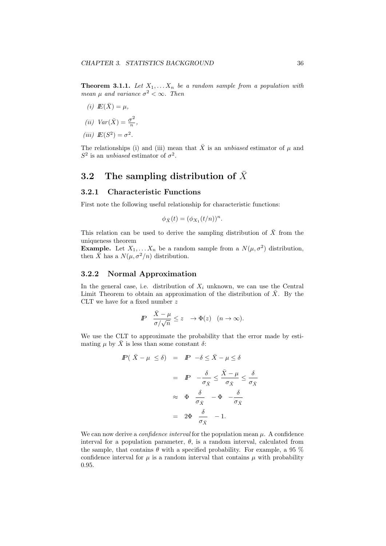**Theorem 3.1.1.** Let  $X_1, \ldots, X_n$  be a random sample from a population with mean  $\mu$  and variance  $\sigma^2 < \infty$ . Then

- (i)  $E(\bar{X}) = \mu$ ,
- (*ii*)  $Var(\bar{X}) = \frac{\sigma^2}{n}$  $\frac{\overline{y}}{n}$ ,
- (iii)  $E(S^2) = \sigma^2$ .

The relationships (i) and (iii) mean that  $\bar{X}$  is an unbiased estimator of  $\mu$  and  $S^2$  is an *unbiased* estimator of  $\sigma^2$ .

## 3.2 The sampling distribution of  $\bar{X}$

#### 3.2.1 Characteristic Functions

First note the following useful relationship for characteristic functions:

$$
\phi_{\bar{X}}(t) = (\phi_{X_1}(t/n))^n.
$$

This relation can be used to derive the sampling distribution of  $\bar{X}$  from the uniqueness theorem

**Example.** Let  $X_1, \ldots, X_n$  be a random sample from a  $N(\mu, \sigma^2)$  distribution, then  $\overline{X}$  has a  $N(\mu, \sigma^2/n)$  distribution.

#### 3.2.2 Normal Approximation

In the general case, i.e. distribution of  $X_i$  unknown, we can use the Central Limit Theorem to obtain an approximation of the distribution of  $\overline{X}$ . By the CLT we have for a fixed number  $z$ 

$$
I\!\!P \quad \frac{\bar X - \mu}{\sigma/\sqrt{n}} \leq z \quad \rightarrow \Phi(z) \quad (n \rightarrow \infty).
$$

We use the CLT to approximate the probability that the error made by estimating  $\mu$  by  $\overline{X}$  is less than some constant  $\delta$ :

$$
P(\bar{X} - \mu \le \delta) = P - \delta \le \bar{X} - \mu \le \delta
$$
  

$$
= P - \frac{\delta}{\sigma_{\bar{X}}} \le \frac{\bar{X} - \mu}{\sigma_{\bar{X}}} \le \frac{\delta}{\sigma_{\bar{X}}}
$$
  

$$
\approx \Phi \frac{\delta}{\sigma_{\bar{X}}} - \Phi - \frac{\delta}{\sigma_{\bar{X}}}
$$
  

$$
= 2\Phi \frac{\delta}{\sigma_{\bar{X}}} - 1.
$$

We can now derive a *confidence interval* for the population mean  $\mu$ . A confidence interval for a population parameter,  $\theta$ , is a random interval, calculated from the sample, that contains  $\theta$  with a specified probability. For example, a 95 % confidence interval for  $\mu$  is a random interval that contains  $\mu$  with probability 0.95.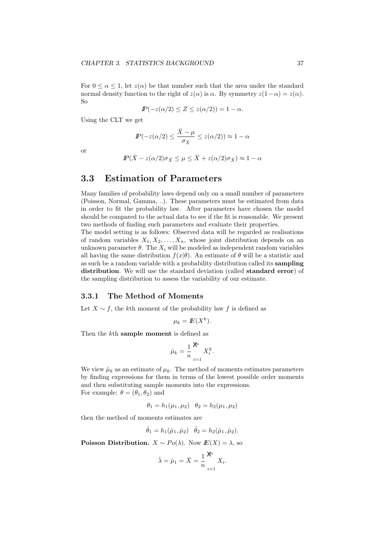For  $0 \leq \alpha \leq 1$ , let  $z(\alpha)$  be that number such that the area under the standard normal density function to the right of  $z(\alpha)$  is  $\alpha$ . By symmetry  $z(1-\alpha) = z(\alpha)$ . So

$$
I\!\!P(-z(\alpha/2) \leq Z \leq z(\alpha/2)) = 1 - \alpha.
$$

Using the CLT we get

$$
I\!\!P(-z(\alpha/2) \leq \frac{\bar{X} - \mu}{\sigma_{\bar{X}}} \leq z(\alpha/2)) \approx 1 - \alpha
$$

or

$$
I\!\!P(\bar{X} - z(\alpha/2)\sigma_{\bar{X}} \le \mu \le \bar{X} + z(\alpha/2)\sigma_{\bar{X}}) \approx 1 - \alpha
$$

## 3.3 Estimation of Parameters

Many families of probability laws depend only on a small number of parameters (Poisson, Normal, Gamma, ..). These parameters must be estimated from data in order to fit the probability law. After parameters have chosen the model should be compared to the actual data to see if the fit is reasonable. We present two methods of finding such parameters and evaluate their properties.

The model setting is as follows: Observed data will be regarded as realisations of random variables  $X_1, X_2, \ldots, X_n$ , whose joint distribution depends on an unknown parameter  $\theta$ . The  $X_i$  will be modeled as independent random variables all having the same distribution  $f(x|\theta)$ . An estimate of  $\theta$  will be a statistic and as such be a random variable with a probability distribution called its sampling distribution. We will use the standard deviation (called standard error) of the sampling distribution to assess the variability of our estimate.

#### 3.3.1 The Method of Moments

Let  $X \sim f$ , the kth moment of the probability law f is defined as

$$
\mu_k = I\!E(X^k).
$$

Then the kth sample moment is defined as

$$
\hat{\mu}_k = \frac{1}{n} \sum_{i=1}^{\mathcal{M}} X_i^k.
$$

We view  $\hat{\mu}_k$  as an estimate of  $\mu_k$ . The method of moments estimates parameters by finding expressions for them in terms of the lowest possible order moments and then substituting sample moments into the expressions. For example:  $\theta = (\theta_1, \theta_2)$  and

$$
\theta_1 = h_1(\mu_1, \mu_2) \quad \theta_2 = h_2(\mu_1, \mu_2)
$$

then the method of moments estimates are

$$
\hat{\theta}_1 = h_1(\hat{\mu}_1, \hat{\mu}_2) \quad \hat{\theta}_2 = h_2(\hat{\mu}_1, \hat{\mu}_2).
$$

Poisson Distribution.  $X \sim Po(\lambda)$ . Now  $E(X) = \lambda$ , so

$$
\hat{\lambda} = \hat{\mu}_1 = \bar{X} = \frac{1}{n} \sum_{i=1}^{\mathcal{N}} X_i.
$$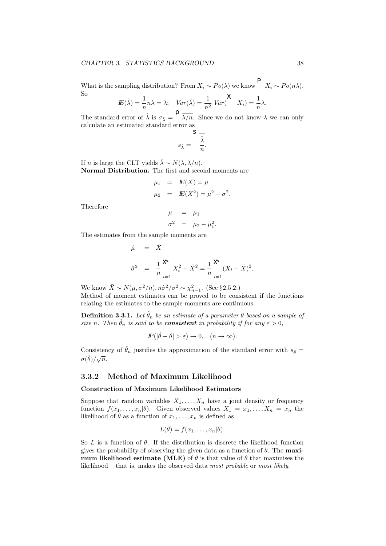#### CHAPTER 3. STATISTICS BACKGROUND 38

What is the sampling distribution? From  $X_i \sim Po(\lambda)$  we know  $X_i \sim Po(n\lambda)$ . So

$$
I\!\!E(\hat{\lambda}) = \frac{1}{n} n\lambda = \lambda; \quad Var(\hat{\lambda}) = \frac{1}{n^2} Var\left(\begin{array}{cc} X_i \end{array}\right) = \frac{1}{n} \lambda.
$$

The standard error of  $\hat{\lambda}$  is  $\sigma_{\hat{\lambda}} = \frac{1}{\lambda/n}$ . Since we do not know  $\lambda$  we can only calculate an estimated standard error as

$$
s_{\hat{\lambda}} = \frac{\hat{\lambda}}{n}.
$$

If n is large the CLT yields  $\hat{\lambda} \sim N(\lambda, \lambda/n)$ . Normal Distribution. The first and second moments are

$$
\mu_1 = E(X) = \mu
$$
  
\n $\mu_2 = E(X^2) = \mu^2 + \sigma^2.$ 

Therefore

$$
\begin{array}{rcl}\n\mu & = & \mu_1 \\
\sigma^2 & = & \mu_2 - \mu_1^2.\n\end{array}
$$

The estimates from the sample moments are

$$
\hat{\mu} = \bar{X}
$$
\n
$$
\hat{\sigma}^2 = \frac{1}{n} \sum_{i=1}^{\mathcal{N}} X_i^2 - \bar{X}^2 = \frac{1}{n} \sum_{i=1}^{\mathcal{N}} (X_i - \bar{X})^2.
$$

We know  $\bar{X} \sim N(\mu, \sigma^2/n), n\hat{\sigma}^2/\sigma^2 \sim \chi^2_{n-1}$ . (See §2.5.2.) Method of moment estimates can be proved to be consistent if the functions relating the estimates to the sample moments are continuous.

**Definition 3.3.1.** Let  $\hat{\theta}_n$  be an estimate of a parameter  $\theta$  based on a sample of size n. Then  $\hat{\theta}_n$  is said to be **consistent** in probability if for any  $\varepsilon > 0$ ,

$$
I\!\!P(|\hat{\theta} - \theta| > \varepsilon) \to 0, \quad (n \to \infty).
$$

Consistency of  $\hat{\theta}_n$  justifies the approximation of the standard error with  $s_{\hat{\theta}} =$  $\sigma(\hat{\theta})/\sqrt{n}$ .

#### 3.3.2 Method of Maximum Likelihood

#### Construction of Maximum Likelihood Estimators

Suppose that random variables  $X_1, \ldots, X_n$  have a joint density or frequency function  $f(x_1, \ldots, x_n|\theta)$ . Given observed values  $X_1 = x_1, \ldots, X_n = x_n$  the likelihood of  $\theta$  as a function of  $x_1, \ldots, x_n$  is defined as

$$
L(\theta) = f(x_1, \ldots, x_n | \theta).
$$

So L is a function of  $\theta$ . If the distribution is discrete the likelihood function gives the probability of observing the given data as a function of  $\theta$ . The maximum likelihood estimate (MLE) of  $\theta$  is that value of  $\theta$  that maximises the likelihood – that is, makes the observed data most probable or most likely.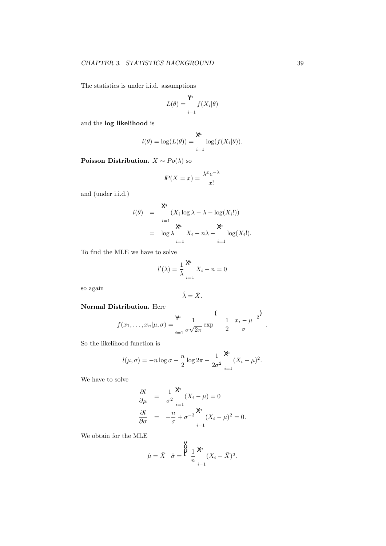The statistics is under i.i.d. assumptions

$$
L(\theta) = \bigvee_{i=1}^{\mathcal{M}} f(X_i | \theta)
$$

and the log likelihood is

$$
l(\theta) = \log(L(\theta)) = \sum_{i=1}^{\chi} \log(f(X_i|\theta)).
$$

Poisson Distribution.  $X \sim Po(\lambda)$  so

$$
I\!\!P(X = x) = \frac{\lambda^x e^{-\lambda}}{x!}
$$

and (under i.i.d.)

$$
l(\theta) = \begin{cases} \lambda^{\theta} & \text{if } (X_i \log \lambda - \lambda - \log(X_i!)) \\ \lambda^{\theta} & \text{if } \lambda \leq \lambda - \lambda - \log(X_i!) \\ \lambda^{\theta} & \text{if } \lambda = 1 \end{cases}
$$

To find the MLE we have to solve

$$
l'(\lambda) = \frac{1}{\lambda} \sum_{i=1}^{\lambda} X_i - n = 0
$$

so again

$$
\hat{\lambda} = \bar{X}.
$$

#### Normal Distribution. Here

$$
f(x_1,\ldots,x_n|\mu,\sigma) = \sum_{i=1}^{\infty} \frac{1}{\sigma\sqrt{2\pi}} \exp\left(-\frac{1}{2} \frac{x_i-\mu}{\sigma}\right)^2.
$$

So the likelihood function is

$$
l(\mu, \sigma) = -n \log \sigma - \frac{n}{2} \log 2\pi - \frac{1}{2\sigma^2} \sum_{i=1}^{\chi} (X_i - \mu)^2.
$$

We have to solve

$$
\frac{\partial l}{\partial \mu} = \frac{1}{\sigma^2} \mathcal{K}(X_i - \mu) = 0
$$
  

$$
\frac{\partial l}{\partial \sigma} = -\frac{n}{\sigma} + {\sigma^{-3}} \mathcal{K}(X_i - \mu)^2 = 0.
$$

We obtain for the MLE

$$
\hat{\mu} = \bar{X} \quad \hat{\sigma} = \frac{\bigvee_{i=1}^{V} \frac{1}{n} \times (X_i - \bar{X})^2.}{n}.
$$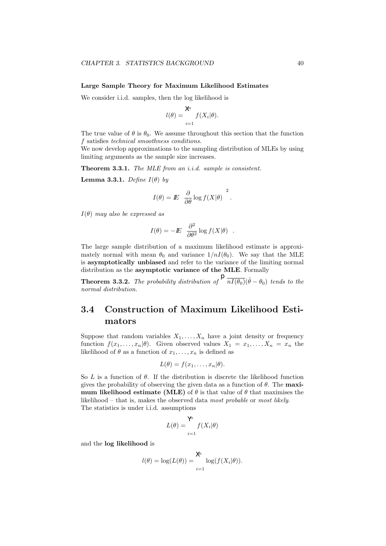#### Large Sample Theory for Maximum Likelihood Estimates

We consider i.i.d. samples, then the log likelihood is

$$
l(\theta) = \bigvee_{i=1}^{\infty} f(X_i|\theta).
$$

The true value of  $\theta$  is  $\theta_0$ . We assume throughout this section that the function f satisfies technical smoothness conditions.

We now develop approximations to the sampling distribution of MLEs by using limiting arguments as the sample size increases.

Theorem 3.3.1. The MLE from an i.i.d. sample is consistent.

**Lemma 3.3.1.** Define  $I(\theta)$  by

$$
I(\theta) = I\!\!E \frac{\partial}{\partial \theta} \log f(X|\theta) \Big|^2.
$$

 $I(\theta)$  may also be expressed as

$$
I(\theta) = -E \frac{\partial^2}{\partial \theta^2} \log f(X|\theta) .
$$

The large sample distribution of a maximum likelihood estimate is approximately normal with mean  $\theta_0$  and variance  $1/nI(\theta_0)$ . We say that the MLE is asymptotically unbiased and refer to the variance of the limiting normal distribution as the asymptotic variance of the MLE. Formally

**Theorem 3.3.2.** The probability distribution of  $\int_{0}^{b} \overline{nI(\theta_0)}(\hat{\theta} - \theta_0)$  tends to the normal distribution.

## 3.4 Construction of Maximum Likelihood Estimators

Suppose that random variables  $X_1, \ldots, X_n$  have a joint density or frequency function  $f(x_1, \ldots, x_n|\theta)$ . Given observed values  $X_1 = x_1, \ldots, X_n = x_n$  the likelihood of  $\theta$  as a function of  $x_1, \ldots, x_n$  is defined as

$$
L(\theta) = f(x_1, \ldots, x_n | \theta).
$$

So L is a function of  $\theta$ . If the distribution is discrete the likelihood function gives the probability of observing the given data as a function of  $\theta$ . The maximum likelihood estimate (MLE) of  $\theta$  is that value of  $\theta$  that maximises the likelihood – that is, makes the observed data most probable or most likely. The statistics is under i.i.d. assumptions

$$
L(\theta) = \bigvee_{i=1}^{\mathsf{Y}^{h}} f(X_i | \theta)
$$

and the log likelihood is

$$
l(\theta) = \log(L(\theta)) = \bigvee_{i=1}^{\mathcal{X}^i} \log(f(X_i|\theta)).
$$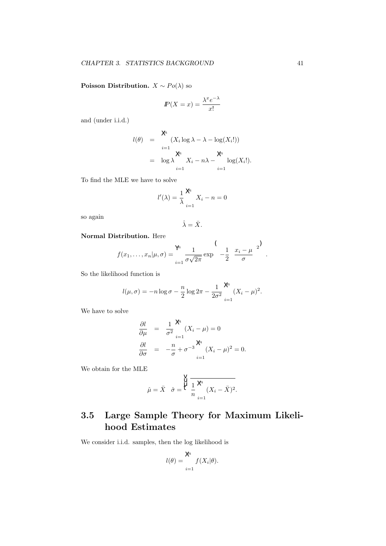**Poisson Distribution.**  $X \sim Po(\lambda)$  so

$$
I\!\!P(X = x) = \frac{\lambda^x e^{-\lambda}}{x!}
$$

and (under i.i.d.)

$$
l(\theta) = \begin{cases} \n\mathsf{X}_i \log \lambda - \lambda - \log(X_i!) \\
\vdots \\
\mathsf{X}^k \mathsf{X}_i - n\lambda - \log(X_i!).\n\end{cases}
$$
\n
$$
= \log \lambda \begin{cases} \n\mathsf{X}_i - n\lambda - \log(X_i!).\n\end{cases}
$$

To find the MLE we have to solve

$$
l'(\lambda) = \frac{1}{\lambda} \sum_{i=1}^{\lambda} X_i - n = 0
$$

so again

$$
\hat{\lambda} = \bar{X}.
$$

Normal Distribution. Here

$$
f(x_1,\ldots,x_n|\mu,\sigma) = \sum_{i=1}^{\infty} \frac{1}{\sigma\sqrt{2\pi}} \exp\left(-\frac{1}{2}\left(\frac{x_i-\mu}{\sigma}\right)^2\right)
$$

So the likelihood function is

$$
l(\mu, \sigma) = -n \log \sigma - \frac{n}{2} \log 2\pi - \frac{1}{2\sigma^2} \bigg|_{i=1}^{\infty} (X_i - \mu)^2.
$$

We have to solve

$$
\frac{\partial l}{\partial \mu} = \frac{1}{\sigma^2} \sum_{i=1}^{\mathcal{R}} (X_i - \mu) = 0
$$
  

$$
\frac{\partial l}{\partial \sigma} = -\frac{n}{\sigma} + {\sigma^{-3}} \sum_{i=1}^{\mathcal{R}} (X_i - \mu)^2 = 0.
$$

We obtain for the MLE

$$
\hat{\mu} = \bar{X} \quad \hat{\sigma} = \frac{\bigvee_{i=1}^{V} \frac{1}{i} \frac{\lambda^a}{\lambda^a} (X_i - \bar{X})^2.
$$

## 3.5 Large Sample Theory for Maximum Likelihood Estimates

We consider i.i.d. samples, then the log likelihood is

$$
l(\theta) = \bigvee_{i=1}^{\infty} f(X_i|\theta).
$$

.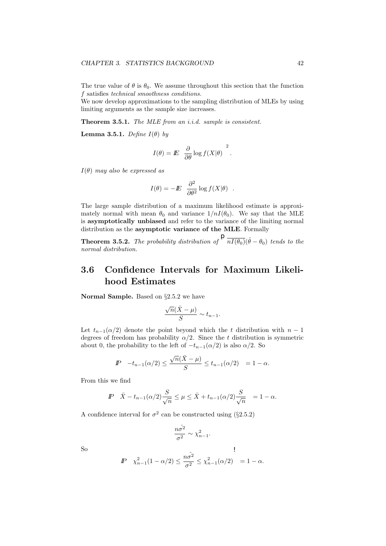The true value of  $\theta$  is  $\theta_0$ . We assume throughout this section that the function f satisfies technical smoothness conditions.

We now develop approximations to the sampling distribution of MLEs by using limiting arguments as the sample size increases.

Theorem 3.5.1. The MLE from an i.i.d. sample is consistent.

**Lemma 3.5.1.** Define  $I(\theta)$  by

$$
I(\theta) = I\!\!E \frac{\partial}{\partial \theta} \log f(X|\theta) \Big|^2.
$$

 $I(\theta)$  may also be expressed as

$$
I(\theta) = -E \frac{\partial^2}{\partial \theta^2} \log f(X|\theta) .
$$

The large sample distribution of a maximum likelihood estimate is approximately normal with mean  $\theta_0$  and variance  $1/nI(\theta_0)$ . We say that the MLE is asymptotically unbiased and refer to the variance of the limiting normal distribution as the asymptotic variance of the MLE. Formally

**Theorem 3.5.2.** The probability distribution of  $\sqrt{\overline{nI(\theta_0)}}(\hat{\theta} - \theta_0)$  tends to the normal distribution.

## 3.6 Confidence Intervals for Maximum Likelihood Estimates

Normal Sample. Based on §2.5.2 we have

$$
\frac{\sqrt{n}(\bar{X} - \mu)}{S} \sim t_{n-1}.
$$

Let  $t_{n-1}(\alpha/2)$  denote the point beyond which the t distribution with  $n-1$ degrees of freedom has probability  $\alpha/2$ . Since the t distribution is symmetric about 0, the probability to the left of  $-t_{n-1}(\alpha/2)$  is also  $\alpha/2$ . So

$$
I\!\!P \quad -t_{n-1}(\alpha/2) \le \frac{\sqrt{n}(\bar{X} - \mu)}{S} \le t_{n-1}(\alpha/2) = 1 - \alpha.
$$

From this we find

$$
I\!\!P \quad \bar{X} - t_{n-1}(\alpha/2) \frac{S}{\sqrt{n}} \le \mu \le \bar{X} + t_{n-1}(\alpha/2) \frac{S}{\sqrt{n}} = 1 - \alpha.
$$

A confidence interval for  $\sigma^2$  can be constructed using (§2.5.2)

$$
\frac{n\hat{\sigma^2}}{\sigma^2} \sim \chi^2_{n-1}.
$$

So

$$
I\!\!P \quad \chi^2_{n-1}(1-\alpha/2) \le \frac{n\hat{\sigma^2}}{\sigma^2} \le \chi^2_{n-1}(\alpha/2) = 1 - \alpha.
$$

 $\overline{1}$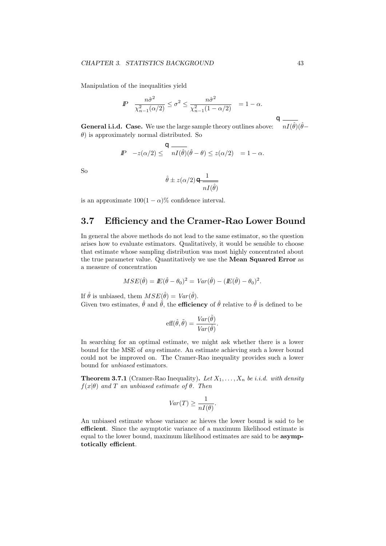Manipulation of the inequalities yield

$$
I\!\!P \quad \frac{n\hat{\sigma}^2}{\chi^2_{n-1}(\alpha/2)} \leq \sigma^2 \leq \frac{n\hat{\sigma}^2}{\chi^2_{n-1}(1-\alpha/2)} = 1-\alpha.
$$

**General i.i.d.** Case. We use the large sample theory outlines above:  $nI(\hat{\theta}) (\hat{\theta} - \hat{\theta})$  $\theta$ ) is approximately normal distributed. So

$$
I\!\!P \quad -z(\alpha/2) \leq \frac{Q}{nI(\hat{\theta})}(\hat{\theta} - \theta) \leq z(\alpha/2) \quad = 1 - \alpha.
$$

So

$$
\hat{\theta} \pm z(\alpha/2) \ominus \frac{1}{nI(\hat{\theta})}
$$

is an approximate  $100(1 - \alpha)\%$  confidence interval.

## 3.7 Efficiency and the Cramer-Rao Lower Bound

In general the above methods do not lead to the same estimator, so the question arises how to evaluate estimators. Qualitatively, it would be sensible to choose that estimate whose sampling distribution was most highly concentrated about the true parameter value. Quantitatively we use the Mean Squared Error as a measure of concentration

$$
MSE(\hat{\theta}) = \mathbb{E}(\hat{\theta} - \theta_0)^2 = Var(\hat{\theta}) - (\mathbb{E}(\hat{\theta}) - \theta_0)^2.
$$

If  $\hat{\theta}$  is unbiased, them  $MSE(\hat{\theta}) = Var(\hat{\theta})$ .

Given two estimates,  $\hat{\theta}$  and  $\tilde{\theta}$ , the **efficiency** of  $\hat{\theta}$  relative to  $\tilde{\theta}$  is defined to be

$$
\text{eff}(\hat{\theta},\tilde{\theta}) = \frac{Var(\tilde{\theta})}{Var(\hat{\theta})}.
$$

In searching for an optimal estimate, we might ask whether there is a lower bound for the MSE of any estimate. An estimate achieving such a lower bound could not be improved on. The Cramer-Rao inequality provides such a lower bound for unbiased estimators.

**Theorem 3.7.1** (Cramer-Rao Inequality). Let  $X_1, \ldots, X_n$  be i.i.d. with density  $f(x|\theta)$  and T an unbiased estimate of  $\theta$ . Then

$$
Var(T) \ge \frac{1}{nI(\theta)}.
$$

An unbiased estimate whose variance ac hieves the lower bound is said to be efficient. Since the asymptotic variance of a maximum likelihood estimate is equal to the lower bound, maximum likelihood estimates are said to be asymptotically efficient.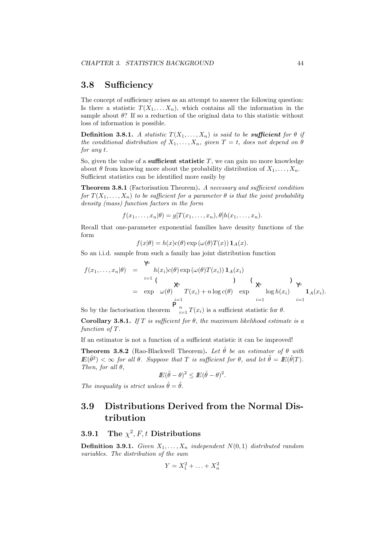## 3.8 Sufficiency

The concept of sufficiency arises as an attempt to answer the following question: Is there a statistic  $T(X_1, \ldots, X_n)$ , which contains all the information in the sample about  $\theta$ ? If so a reduction of the original data to this statistic without loss of information is possible.

**Definition 3.8.1.** A statistic  $T(X_1, \ldots, X_n)$  is said to be **sufficient** for  $\theta$  if the conditional distribution of  $X_1, \ldots, X_n$ , given  $T = t$ , does not depend on  $\theta$ for any t.

So, given the value of a **sufficient statistic**  $T$ , we can gain no more knowledge about  $\theta$  from knowing more about the probability distribution of  $X_1, \ldots, X_n$ . Sufficient statistics can be identified more easily by

Theorem 3.8.1 (Factorisation Theorem). A necessary and sufficient condition for  $T(X_1, \ldots, X_n)$  to be sufficient for a parameter  $\theta$  is that the joint probability density (mass) function factors in the form

 $f(x_1, \ldots, x_n | \theta) = g[T(x_1, \ldots, x_n), \theta] h(x_1, \ldots, x_n).$ 

Recall that one-parameter exponential families have density functions of the form

$$
f(x|\theta) = h(x)c(\theta) \exp(\omega(\theta)T(x)) \mathbf{1}_A(x).
$$

So an i.i.d. sample from such a family has joint distribution function

Yn

$$
f(x_1,...,x_n|\theta) = \int_{i=1}^{\gamma} h(x_i)c(\theta) \exp(\omega(\theta)T(x_i)) \mathbf{1}_A(x_i)
$$
  
\n
$$
= \exp \omega(\theta) \int_{i=1}^{\gamma} T(x_i) + n \log c(\theta) \exp \log h(x_i)
$$
  
\n
$$
= \sum_{i=1}^{\gamma} \log h(x_i) \prod_{i=1}^{\gamma} \mathbf{1}_A(x_i).
$$

So by the factorisation theorem  $\int_{i=1}^{n} T(x_i)$  is a sufficient statistic for  $\theta$ .

Corollary 3.8.1. If T is sufficient for  $\theta$ , the maximum likelihood estimate is a function of T.

If an estimator is not a function of a sufficient statistic it can be improved!

**Theorem 3.8.2** (Rao-Blackwell Theorem). Let  $\hat{\theta}$  be an estimator of  $\theta$  with  $\mathbb{E}(\hat{\theta}^2) < \infty$  for all  $\theta$ . Suppose that T is sufficient for  $\theta$ , and let  $\tilde{\theta} = \mathbb{E}(\hat{\theta}|T)$ . Then, for all  $\theta$ ,

$$
I\!\!E(\tilde\theta-\theta)^2\leq I\!\!E(\hat\theta-\theta)^2.
$$

The inequality is strict unless  $\hat{\theta} = \tilde{\theta}$ .

## 3.9 Distributions Derived from the Normal Distribution

## **3.9.1** The  $\chi^2$ , F, t Distributions

**Definition 3.9.1.** Given  $X_1, \ldots, X_n$  independent  $N(0, 1)$  distributed random variables. The distribution of the sum

$$
Y = X_1^2 + \ldots + X_n^2
$$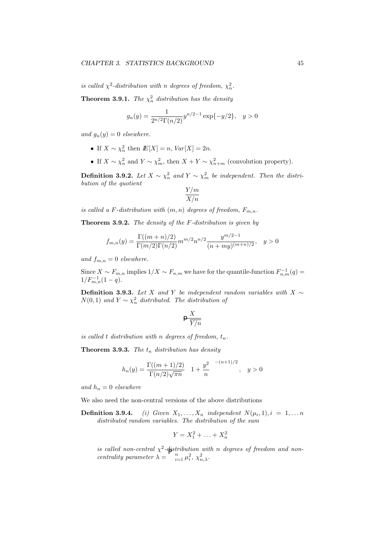is called  $\chi^2$ -distribution with n degrees of freedom,  $\chi^2$ <sub>n</sub>.

**Theorem 3.9.1.** The  $\chi^2_n$  distribution has the density

$$
g_n(y) = \frac{1}{2^{n/2} \Gamma(n/2)} y^{n/2 - 1} \exp\{-y/2\}, \quad y > 0
$$

and  $g_n(y) = 0$  elsewhere.

- If  $X \sim \chi_n^2$  then  $I\!\!E[X] = n$ ,  $Var[X] = 2n$ .
- If  $X \sim \chi_n^2$  and  $Y \sim \chi_m^2$ , then  $X + Y \sim \chi_{n+m}^2$  (convolution property).

**Definition 3.9.2.** Let  $X \sim \chi_n^2$  and  $Y \sim \chi_m^2$  be independent. Then the distribution of the quotient

$$
\frac{Y/m}{X/n}
$$

is called a F-distribution with  $(m, n)$  degrees of freedom,  $F_{m,n}$ .

Theorem 3.9.2. The density of the F-distribution is given by

$$
f_{m,n}(y) = \frac{\Gamma((m+n)/2)}{\Gamma(m/2)\Gamma(n/2)} m^{m/2} n^{n/2} \frac{y^{m/2-1}}{(n+my)^{(m+n)/2}}, \quad y > 0
$$

and  $f_{m,n} = 0$  elsewhere.

Since  $X \sim F_{m,n}$  implies  $1/X \sim F_{n,m}$  we have for the quantile-function  $F_{n,m}^{-1}(q) =$  $1/F_{m,n}^{-1}(1-q).$ 

**Definition 3.9.3.** Let X and Y be independent random variables with X  $\sim$  $N(0, 1)$  and  $Y \sim \chi_n^2$  distributed. The distribution of

$$
\varphi \frac{X}{\overline{Y}/n}
$$

is called t distribution with n degrees of freedom,  $t_n$ .

**Theorem 3.9.3.** The  $t_n$  distribution has density

$$
h_n(y) = \frac{\Gamma((m+1)/2)}{\Gamma(n/2)\sqrt{\pi n}} \quad 1 + \frac{y^2}{n} \quad \frac{-(n+1)/2}{n}, \quad y > 0
$$

and  $h_n = 0$  elsewhere

We also need the non-central versions of the above distributions

**Definition 3.9.4.** (i) Given  $X_1, \ldots, X_n$  independent  $N(\mu_i, 1), i = 1, \ldots n$ distributed random variables. The distribution of the sum

$$
Y = X_1^2 + \ldots + X_n^2
$$

is called non-central  $\chi^2$ -distribution with n degrees of freedom and noncentrality parameter  $\widehat{\lambda} = \sum_{i=1}^{n} \mu_i^2$ ,  $\chi_{n,\lambda}^2$ .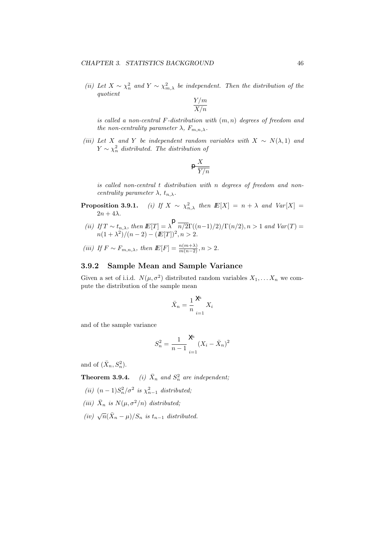(ii) Let  $X \sim \chi^2_n$  and  $Y \sim \chi^2_{m,\lambda}$  be independent. Then the distribution of the quotient

$$
\frac{Y/m}{X/n}
$$

is called a non-central  $F$ -distribution with  $(m, n)$  degrees of freedom and the non-centrality parameter  $\lambda$ ,  $F_{m,n,\lambda}$ .

(iii) Let X and Y be independent random variables with  $X \sim N(\lambda, 1)$  and  $Y \sim \chi^2_n$  distributed. The distribution of

$$
\varphi\frac{X}{\overline{Y}/n}
$$

is called non-central t distribution with n degrees of freedom and noncentrality parameter  $\lambda$ ,  $t_{n,\lambda}$ .

- **Proposition 3.9.1.** (i) If  $X \sim \chi^2_{n,\lambda}$  then  $E[X] = n + \lambda$  and  $Var[X] =$  $2n + 4\lambda$ .
- (ii) If  $T \sim t_{n,\lambda}$ , then  $\mathbb{E}[T] = \lambda^{\mathbb{P}} \overline{n/2} \Gamma((n-1)/2)/\Gamma(n/2), n > 1$  and  $Var(T) =$  $n(1+\lambda^2)/(n-2) - (E[T])^2, n > 2.$
- (iii) If  $F \sim F_{m,n,\lambda}$ , then  $\mathbb{E}[F] = \frac{n(m+\lambda)}{m(n-2)}$ ,  $n > 2$ .

#### 3.9.2 Sample Mean and Sample Variance

Given a set of i.i.d.  $N(\mu, \sigma^2)$  distributed random variables  $X_1, \ldots X_n$  we compute the distribution of the sample mean

$$
\bar{X}_n = \frac{1}{n} \sum_{i=1}^{\mathcal{M}} X_i
$$

and of the sample variance

$$
S_n^2 = \frac{1}{n-1} \sum_{i=1}^{\mathcal{N}} (X_i - \bar{X}_n)^2
$$

and of  $(\bar{X}_n, S_n^2)$ .

**Theorem 3.9.4.** (i)  $\bar{X}_n$  and  $S_n^2$  are independent;

- (ii)  $(n-1)S_n^2/\sigma^2$  is  $\chi_{n-1}^2$  distributed;
- (iii)  $\bar{X}_n$  is  $N(\mu, \sigma^2/n)$  distributed;
- (iv)  $\sqrt{n}(\bar{X}_n \mu)/S_n$  is  $t_{n-1}$  distributed.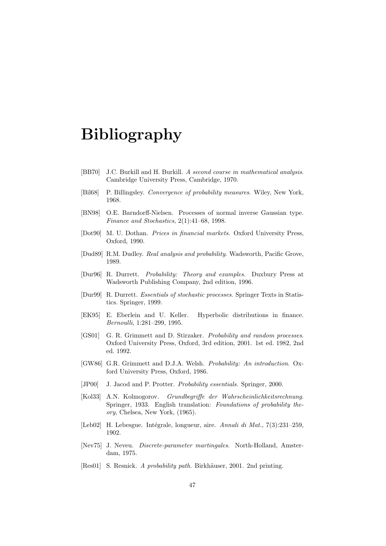# Bibliography

- [BB70] J.C. Burkill and H. Burkill. A second course in mathematical analysis. Cambridge University Press, Cambridge, 1970.
- [Bil68] P. Billingsley. Convergence of probability measures. Wiley, New York, 1968.
- [BN98] O.E. Barndorff-Nielsen. Processes of normal inverse Gaussian type. Finance and Stochastics, 2(1):41–68, 1998.
- [Dot90] M. U. Dothan. *Prices in financial markets*. Oxford University Press, Oxford, 1990.
- [Dud89] R.M. Dudley. Real analysis and probability. Wadsworth, Pacific Grove, 1989.
- [Dur96] R. Durrett. Probability: Theory and examples. Duxbury Press at Wadsworth Publishing Company, 2nd edition, 1996.
- [Dur99] R. Durrett. Essentials of stochastic processes. Springer Texts in Statistics. Springer, 1999.
- [EK95] E. Eberlein and U. Keller. Hyperbolic distributions in finance. Bernoulli, 1:281–299, 1995.
- [GS01] G. R. Grimmett and D. Stirzaker. Probability and random processes. Oxford University Press, Oxford, 3rd edition, 2001. 1st ed. 1982, 2nd ed. 1992.
- [GW86] G.R. Grimmett and D.J.A. Welsh. Probability: An introduction. Oxford University Press, Oxford, 1986.
- [JP00] J. Jacod and P. Protter. Probability essentials. Springer, 2000.
- [Kol33] A.N. Kolmogorov. Grundbegriffe der Wahrscheinlichkeitsrechnung. Springer, 1933. English translation: Foundations of probability theory, Chelsea, New York, (1965).
- [Leb02] H. Lebesgue. Intégrale, longueur, aire. Annali di Mat., 7(3):231–259, 1902.
- [Nev75] J. Neveu. Discrete-parameter martingales. North-Holland, Amsterdam, 1975.
- [Res01] S. Resnick. A probability path. Birkhäuser, 2001. 2nd printing.